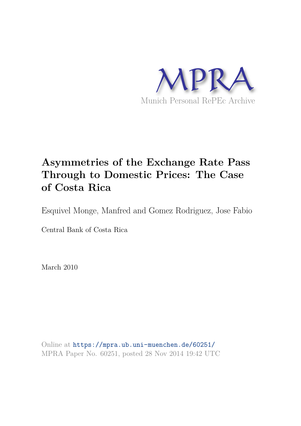

# **Asymmetries of the Exchange Rate Pass Through to Domestic Prices: The Case of Costa Rica**

Esquivel Monge, Manfred and Gomez Rodriguez, Jose Fabio

Central Bank of Costa Rica

March 2010

Online at https://mpra.ub.uni-muenchen.de/60251/ MPRA Paper No. 60251, posted 28 Nov 2014 19:42 UTC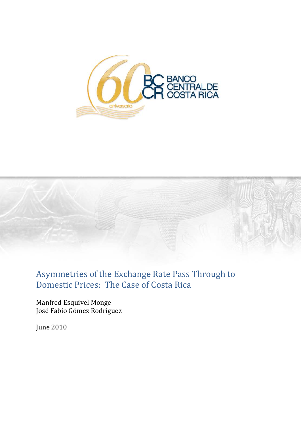



# Asymmetries of the Exchange Rate Pass Through to Domestic Prices: The Case of Costa Rica

Manfred Esquivel Monge José Fabio Gómez Rodríguez

June 2010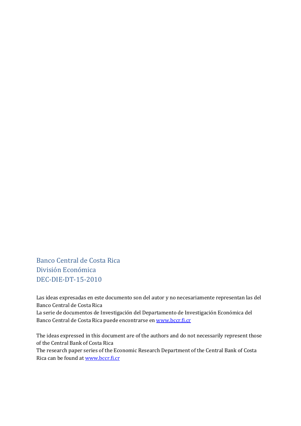Banco Central de Costa Rica División Económica DEC-DIE-DT-15-2010

Las ideas expresadas en este documento son del autor y no necesariamente representan las del Banco Central de Costa Rica La serie de documentos de Investigación del Departamento de Investigación Económica del Banco Central de Costa Rica puede encontrarse en www.bccr.fi.cr

The ideas expressed in this document are of the authors and do not necessarily represent those of the Central Bank of Costa Rica

The research paper series of the Economic Research Department of the Central Bank of Costa Rica can be found at www.bccr.fi.cr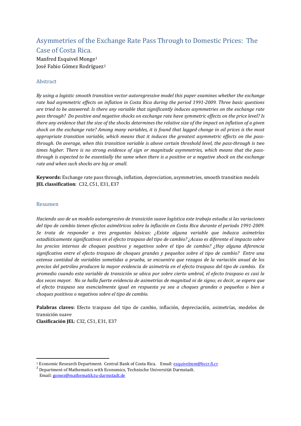### Asymmetries of the Exchange Rate Pass Through to Domestic Prices: The Case of Costa Rica.

Manfred Esquivel Monge<sup>1</sup> José Fabio Gómez Rodríg[u](#page-3-0)ez<sup>[2](#page-3-1)</sup>

#### Abstract

*By using a logistic smooth transition vector autoregressive model this paper examines whether the exchange rate had asymmetric effects on inflation in Costa Rica during the period 1991-2009. Three basic questions are tried to be answered: Is there any variable that significantly induces asymmetries on the exchange rate pass through? Do positive and negative shocks on exchange rate have symmetric effects on the price level? Is there any evidence that the size of the shocks determines the relative size of the impact on inflation of a given shock on the exchange rate? Among many variables, it is found that lagged change in oil prices is the most appropriate transition variable, which means that it induces the greatest asymmetric effects on the passthrough. On average, when this transition variable is above certain threshold level, the pass-through is two times higher. There is no strong evidence of sign or magnitude asymmetries, which means that the passthrough is expected to be essentially the same when there is a positive or a negative shock on the exchange rate and when such shocks are big or small.*

**Keywords:** Exchange rate pass through, inflation, depreciation, asymmetries, smooth transition models **JEL classification**: C32, C51, E31, E37

#### Resumen

-

*Haciendo uso de un modelo autoregresivo de transición suave logística este trabajo estudia si las variaciones del tipo de cambio tienen efectos asimétricos sobre la inflación en Costa Rica durante el periodo 1991-2009. Se trata de responder a tres preguntas básicas: ¿Existe alguna variable que induzca asimetrías estadísticamente significativas en el efecto traspaso del tipo de cambio? ¿Acaso es diferente el impacto sobre los precios internos de choques positivos y negativos sobre el tipo de cambio? ¿Hay alguna diferencia significativa entre el efecto traspaso de choques grandes y pequeños sobre el tipo de cambio? Entre una extensa cantidad de variables sometidas a prueba, se encuentra que rezagos de la variación anual de los precios del petróleo producen la mayor evidencia de asimetría en el efecto traspaso del tipo de cambio. En promedio cuando esta variable de transición se ubica por sobre cierto umbral, el efecto traspaso es casi la dos veces mayor. No se halla fuerte evidencia de asimetrías de magnitud ni de signo; es decir, se espera que el efecto traspaso sea esencialmente igual en respuesta ya sea a choques grandes o pequeños o bien a choques positivos o negativos sobre el tipo de cambio.*

**Palabras claves:** Efecto traspaso del tipo de cambio, inflación, depreciación, asimetrías, modelos de transición suave

**Clasificación JEL**: C32, C51, E31, E37

<span id="page-3-0"></span><sup>1</sup> Economic Research Department. Central Bank of Costa Rica. Email: esquivelmm@bccr.fi.cr

<span id="page-3-1"></span><sup>&</sup>lt;sup>2</sup> Department of Mathematics with Economics, Technische Universität Darmstadt. Email: gomez@mathematik.tu-darmstadt.de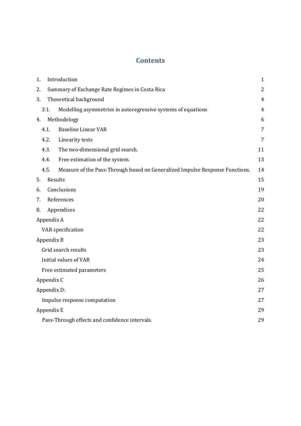## **Contents**

| 1. |                                                      | Introduction                                                                 | $\mathbf{1}$   |  |  |  |  |  |  |
|----|------------------------------------------------------|------------------------------------------------------------------------------|----------------|--|--|--|--|--|--|
| 2. |                                                      | Summary of Exchange Rate Regimes in Costa Rica                               | $\overline{2}$ |  |  |  |  |  |  |
| 3. |                                                      | Theoretical background                                                       | $\overline{4}$ |  |  |  |  |  |  |
|    | 3.1.                                                 | Modelling asymmetries in autoregressive systems of equations                 | $\overline{4}$ |  |  |  |  |  |  |
| 4. |                                                      | Methodology                                                                  | 6              |  |  |  |  |  |  |
|    | 4.1.                                                 | <b>Baseline Linear VAR</b>                                                   | 7              |  |  |  |  |  |  |
|    | 4.2.                                                 | Linearity tests                                                              | 7              |  |  |  |  |  |  |
|    | 4.3.                                                 | The two-dimensional grid search.                                             | 11             |  |  |  |  |  |  |
|    | 4.4.                                                 | Free estimation of the system.                                               | 13             |  |  |  |  |  |  |
|    | 4.5.                                                 | Measure of the Pass-Through based on Generalized Impulse Response Functions. | 14             |  |  |  |  |  |  |
| 5. |                                                      | Results                                                                      | 15             |  |  |  |  |  |  |
| 6. |                                                      | Conclusions                                                                  | 19             |  |  |  |  |  |  |
| 7. |                                                      | References                                                                   | 20             |  |  |  |  |  |  |
| 8. |                                                      | Appendices                                                                   | 22             |  |  |  |  |  |  |
|    | Appendix A                                           |                                                                              | 22             |  |  |  |  |  |  |
|    |                                                      | VAR specification                                                            | 22             |  |  |  |  |  |  |
|    | Appendix B                                           |                                                                              | 23             |  |  |  |  |  |  |
|    |                                                      | Grid search results                                                          | 23             |  |  |  |  |  |  |
|    |                                                      | <b>Initial values of VAR</b>                                                 | 24             |  |  |  |  |  |  |
|    |                                                      | Free estimated parameters                                                    | 25             |  |  |  |  |  |  |
|    | Appendix C                                           |                                                                              | 26             |  |  |  |  |  |  |
|    |                                                      | Appendix D:                                                                  | 27             |  |  |  |  |  |  |
|    |                                                      | Impulse response computation                                                 | 27             |  |  |  |  |  |  |
|    | Appendix E                                           |                                                                              | 29             |  |  |  |  |  |  |
|    | Pass-Through effects and confidence intervals.<br>29 |                                                                              |                |  |  |  |  |  |  |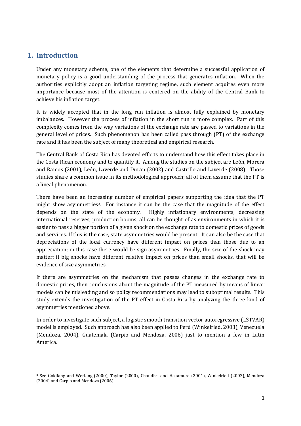### **1. Introduction**

<u>.</u>

Under any monetary scheme, one of the elements that determine a successful application of monetary policy is a good understanding of the process that generates inflation. When the authorities explicitly adopt an inflation targeting regime, such element acquires even more importance because most of the attention is centered on the ability of the Central Bank to achieve his inflation target.

It is widely accepted that in the long run inflation is almost fully explained by monetary imbalances. However the process of inflation in the short run is more complex. Part of this complexity comes from the way variations of the exchange rate are passed to variations in the general level of prices. Such phenomenon has been called pass through (PT) of the exchange rate and it has been the subject of many theoretical and empirical research.

The Central Bank of Costa Rica has devoted efforts to understand how this effect takes place in the Costa Rican economy and to quantify it. Among the studies on the subject are León, Morera and Ramos (2001), León, Laverde and Durán (2002) and Castrillo and Laverde (2008). Those studies share a common issue in its methodological approach; all of them assume that the PT is a lineal phenomenon.

There have been an incr[ea](#page-5-0)sing number of empirical papers supporting the idea that the PT might show asymmetries<sup>3</sup>. For instance it can be the case that the magnitude of the effect depends on the state of the economy. Highly inflationary environments, decreasing international reserves, production booms, all can be thought of as environments in which it is easier to pass a bigger portion of a given shock on the exchange rate to domestic prices of goods and services. If this is the case, state asymmetries would be present. It can also be the case that depreciations of the local currency have different impact on prices than those due to an appreciation; in this case there would be sign asymmetries. Finally, the size of the shock may matter; if big shocks have different relative impact on prices than small shocks, that will be evidence of size asymmetries.

If there are asymmetries on the mechanism that passes changes in the exchange rate to domestic prices, then conclusions about the magnitude of the PT measured by means of linear models can be misleading and so policy recommendations may lead to suboptimal results. This study extends the investigation of the PT effect in Costa Rica by analyzing the three kind of asymmetries mentioned above.

In order to investigate such subject, a logistic smooth transition vector autoregressive (LSTVAR) model is employed. Such approach has also been applied to Perú (Winkelried, 2003), Venezuela (Mendoza, 2004), Guatemala (Carpio and Mendoza, 2006) just to mention a few in Latin America.

<span id="page-5-0"></span><sup>3</sup> See Goldfang and Werlang (2000), Taylor (2000), Choudhri and Hakamura (2001), Winkelried (2003), Mendoza (2004) and Carpio and Mendoza (2006).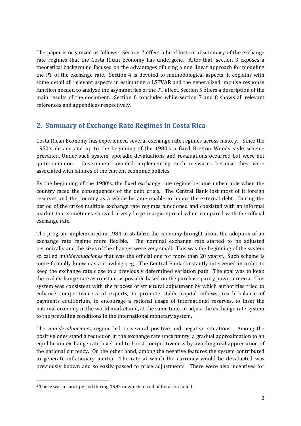The paper is organized as follows: Section 2 offers a brief historical summary of the exchange rate regimes that the Costa Rican Economy has undergone. After that, section 3 exposes a theoretical background focused on the advantages of using a non linear approach for modeling the PT of the exchange rate. Section 4 is devoted to methodological aspects; it explains with some detail all relevant aspects in estimating a LSTVAR and the generalized impulse response function needed to analyze the asymmetries of the PT effect. Section 5 offers a description of the main results of the document. Section 6 concludes while section 7 and 8 shows all relevant references and appendices respectively.

### **2. Summary of Exchange Rate Regimes in Costa Rica**

Costa Rican Economy has experienced several exchange rate regimes across history. Since the 1950's decade and up to the beginning of the 1980's a fixed Bretton Woods style scheme prevailed. Under such system, sporadic devaluations and revaluations occurred but were not quite common. Government avoided implementing such measures because they were associated with failures of the current economic policies.

By the beginning of the 1980's, the fixed exchange rate regime became unbearable when the country faced the consequences of the debt crisis. The Central Bank lost most of it foreign reserves and the country as a whole became unable to honor the external debt. During the period of the crises multiple exchange rate regimes functioned and coexisted with an informal market that sometimes showed a very large margin spread when compared with the official exchange rate.

The program implemented in 1984 to stabilize the economy brought about the adoption of an exchange rate regime more flexible. The nominal exchange rate started to be adjusted periodically and the sizes of the changes were very small. This was the begin[n](#page-6-0)ing of the system so called *minidevaluaciones* that was the official one for more than 20 years<sup>4</sup>. Such scheme is more formally known as a crawling peg. The Central Bank constantly intervened in order to keep the exchange rate close to a previously determined variation path. The goal was to keep the real exchange rate as constant as possible based on the purchase parity power criteria. This system was consistent with the process of structural adjustment by which authorities tried to enhance competitiveness of exports, to promote stable capital inflows, reach balance of payments equilibrium, to encourage a rational usage of international reserves, to inset the national economy in the world market and, at the same time, to adjust the exchange rate system to the prevailing conditions in the international monetary system.

The *minidevaluaciones* regime led to several positive and negative situations. Among the positive ones stand a reduction in the exchange rate uncertainty, a gradual approximation to an equilibrium exchange rate level and to boost competitiveness by avoiding real appreciation of the national currency. On the other hand, among the negative features the system contributed to generate inflationary inertia. The rate at which the currency would be devaluated was previously known and so easily passed to price adjustments. There were also incentives for

-

<span id="page-6-0"></span><sup>4</sup> There was a short period during 1992 in which a trial of flotation failed.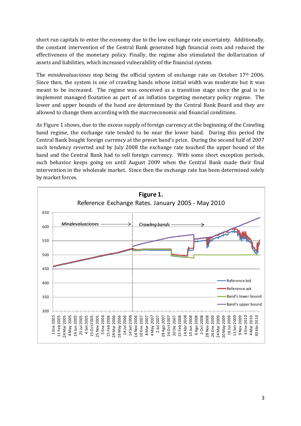short run capitals to enter the economy due to the low exchange rate uncertainty. Additionally, the constant intervention of the Central Bank generated high financial costs and reduced the effectiveness of the monetary policy. Finally, the regime also stimulated the dollarization of assets and liabilities, which increased vulnerability of the financial system.

The *minidevaluaciones* stop being the official system of exchange rate on October 17th 2006. Since then, the system is one of crawling bands whose initial width was moderate but it was meant to be increased. The regime was conceived as a transition stage since the goal is to implement managed floatation as part of an inflation targeting monetary policy regime. The lower and upper bounds of the band are determined by the Central Bank Board and they are allowed to change them according with the macroeconomic and financial conditions.

As Figure 1 shows, due to the excess supply of foreign currency at the beginning of the Crawling band regime, the exchange rate tended to be near the lower band. During this period the Central Bank bought foreign currency at the preset band's price. During the second half of 2007 such tendency reverted and by July 2008 the exchange rate touched the upper bound of the band and the Central Bank had to sell foreign currency. With some short exception periods, such behavior keeps going on until August 2009 when the Central Bank made their final intervention in the wholesale market. Since then the exchange rate has been determined solely by market forces.

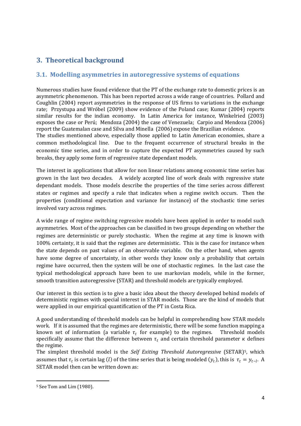## **3. Theoretical background**

#### **3.1. Modelling asymmetries in autoregressive systems of equations**

Numerous studies have found evidence that the PT of the exchange rate to domestic prices is an asymmetric phenomenon. This has been reported across a wide range of countries. Pollard and Coughlin (2004) report asymmetries in the response of US firms to variations in the exchange rate; Przystupa and Wróbel (2009) show evidence of the Poland case; Kumar (2004) reports similar results for the indian economy. In Latin America for instance, Winkelried (2003) exposes the case or Perú; Mendoza (2004) the case of Venezuela; Carpio and Mendoza (2006) report the Guatemalan case and Silva and Minella (2006) expose the Brazilian evidence.

The studies mentioned above, especially those applied to Latin American economies, share a common methodological line. Due to the frequent occurrence of structural breaks in the economic time series, and in order to capture the expected PT asymmetries caused by such breaks, they apply some form of regressive state dependant models.

The interest in applications that allow for non linear relations among economic time series has grown in the last two decades. A widely accepted line of work deals with regressive state dependant models. Those models describe the properties of the time series across different states or regimes and specify a rule that indicates when a regime switch occurs. Then the properties (conditional expectation and variance for instance) of the stochastic time series involved vary across regimes.

A wide range of regime switching regressive models have been applied in order to model such asymmetries. Most of the approaches can be classified in two groups depending on whether the regimes are deterministic or purely stochastic. When the regime at any time is known with 100% certainty, it is said that the regimes are deterministic. This is the case for instance when the state depends on past values of an observable variable. On the other hand, when agents have some degree of uncertainty, in other words they know only a probability that certain regime have occurred, then the system will be one of stochastic regimes. In the last case the typical methodological approach have been to use markovian models, while in the former, smooth transition autoregressive (STAR) and threshold models are typically employed.

Our interest in this section is to give a basic idea about the theory developed behind models of deterministic regimes with special interest in STAR models. Those are the kind of models that were applied in our empirical quantification of the PT in Costa Rica.

A good understanding of threshold models can be helpful in comprehending how STAR models work. If it is assumed that the regimes are deterministic, there will be some function mapping a known set of information (a variable  $\tau_t$  for example) to the regimes. Threshold models specifically assume that the difference between  $\tau_t$  and certain threshold parameter  $\kappa$  defines the regime.

The simplest threshold model is the *Self Exiting Threshold Autoregressive* (SETAR)<sup>5</sup> , which assumes that  $\tau_t$  is certain lag (*l*) of the time series that is being modeled  $(y_t)$ , this is  $\tau_t = y_{t-l}$  $\tau_t = y_{t-l}$  $\tau_t = y_{t-l}$ . A SETAR model then can be written down as:

-

<span id="page-8-0"></span><sup>5</sup> See Tom and Lim (1980).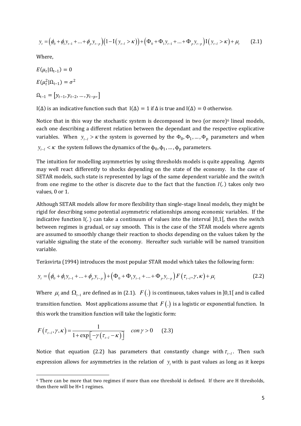$$
y_{t} = (\phi_{0} + \phi_{1} y_{t-1} + ... + \phi_{p} y_{t-p})(1 - I(y_{t-l} > \kappa)) + (\Phi_{0} + \Phi_{1} y_{t-1} + ... + \Phi_{p} y_{t-p})I(y_{t-l} > \kappa) + \mu_{t}
$$
(2.1)

Where,

-

$$
E(\mu_t | \Omega_{t-1}) = 0
$$
  
\n
$$
E(\mu_t^2 | \Omega_{t-1}) = \sigma^2
$$
  
\n
$$
\Omega_{t-1} = [y_{t-1}, y_{t-2}, ..., y_{t-p},]
$$
  
\n
$$
I(\Delta)
$$
 is an indicative function such that  $I(\Delta) = 1$  if  $\Delta$  is true and  $I(\Delta) = 0$  otherwise.

Notice that in this way the stochastic system is decomposed in two (or more)<sup>6</sup> lineal models, *variables.* When  $y_{t-l} > \kappa$  the system is governed by the  $\Phi_0, \Phi_1, ..., \Phi_p$  parameters and when each one describing a different relation between the dependant and the respe[ct](#page-9-0)ive explicative  $y_{t-l} < \kappa$  the system follows the dynamics of the  $\phi_0, \phi_1, ..., \phi_p$  parameters.

The intuition for modelling asymmetries by using thresholds models is quite appealing. Agents may well react differently to shocks depending on the state of the economy. In the case of SETAR models, such state is represented by lags of the same dependent variable and the switch from one regime to the other is discrete due to the fact that the function  $I(.)$  takes only two values, 0 or 1.

Although SETAR models allow for more flexibility than single-stage lineal models, they might be rigid for describing some potential asymmetric relationships among economic variables. If the indicative function  $I(.)$  can take a continuum of values into the interval  $[0,1]$ , then the switch between regimes is gradual, or say smooth. This is the case of the STAR models where agents are assumed to smoothly change their reaction to shocks depending on the values taken by the variable signaling the state of the economy. Hereafter such variable will be named transition variable.

Teräsvirta (1994) introduces the most popular STAR model which takes the following form:

$$
y_{t} = (\phi_{0} + \phi_{1}y_{t-1} + ... + \phi_{p}y_{t-p}) + (\Phi_{0} + \Phi_{1}y_{t-1} + ... + \Phi_{p}y_{t-p})F(\tau_{t-1}, \gamma, \kappa) + \mu_{t}
$$
(2.2)

Where  $\mu_{_t}$  and  $\Omega_{_{t-1}}$  are defined as in (2.1).  $\ F(.)$  is continuous, takes values in ]0,1[ and is called transition function. Most applications assume that  $F(.)$  is a logistic or exponential function. In this work the transition function will take the logistic form:

$$
F(\tau_{t-l}, \gamma, \kappa) = \frac{1}{1 + \exp\left[-\gamma \left(\tau_{t-l} - \kappa\right)\right]} \quad \text{con } \gamma > 0 \tag{2.3}
$$

Notice that equation (2.2) has parameters that constantly change with  $\tau_{t-l}$ . Then such expression allows for asymmetries in the relation of  $y_t$  with is past values as long as it keeps

<span id="page-9-0"></span><sup>6</sup> There can be more that two regimes if more than one threshold is defined. If there are H thresholds, then there will be H+1 regimes.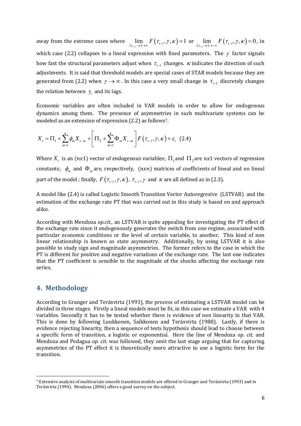away from the extreme cases where  $\lim_{(\tau_{t-1}-\kappa)\to\infty} F(\tau_{t-1},\gamma,\kappa) = 1$  or  $\lim_{(\tau_{t-1}-\kappa)\to-\infty} F(\tau_{t-1},\gamma,\kappa) = 0$ , in which case (2.2) collapses to a lineal expression with fixed parameters. The  $\gamma$  factor signals how fast the structural parameters adjust when  $\tau_{_{t-l}}$  changes.  $\kappa$  indicates the direction of such adjustments. It is said that threshold models are special cases of STAR models because they are generated from (2.2) when  $\gamma \rightarrow \infty$ . In this case a very small change in  $\tau_{t-l}$  discretely changes the relation between  $y_t$  and its lags.

Economic variables are often included in VAR models in order to allow for endogenous dynamics among them. The presence of asymmetr[ie](#page-10-0)s in such multivariate systems can be modeled as an extension of expression (2.2) as follows<sup>7</sup> .

$$
X_{t} = \Pi_{1} + \sum_{m=1}^{q} \phi_{m} X_{t-m} + \left[ \Pi_{2} + \sum_{m=1}^{q} \Phi_{m} X_{t-m} \right] F(\tau_{t-l}, \gamma, \kappa) + \varepsilon_{t} \quad (2.4)
$$

Where  $X_t$  is an  $(nx1)$  vector of endogenous variables;  $\Pi_1$  and  $\Pi_2$  are  $nx1$  vectors of regression constants;  $\phi_m$  and  $\Phi_m$  are, respectively,  $(nxn)$  matrices of coefficients of lineal and no lineal part of the model ; finally,  $F(\tau_{t-l}, \gamma, \kappa)$ ,  $\tau_{t-l}$ ,  $\gamma$  and  $\kappa$  are all defined as in (2.3).

A model like (2.4) is called Logistic Smooth Transition Vector Autoregresive (LSTVAR) and the estimation of the exchange rate PT that was carried out in this study is based on and approach alike.

According with Mendoza *op.cit.,* an LSTVAR is quite appealing for investigating the PT effect of the exchange rate since it endogenously generates the switch from one regime, associated with particular economic conditions or the level of certain variable, to another. This kind of non linear relationship is known as state asymmetry. Additionally, by using LSTVAR it is also possible to study sign and magnitude asymmetries. The former refers to the case in which the PT is different for positive and negative variations of the exchange rate. The last one indicates that the PT coefficient is sensible to the magnitude of the shocks affecting the exchange rate series.

#### **4. Methodology**

-

According to Granger and Teräsvirta (1993), the process of estimating a LSTVAR model can be divided in three stages. Firstly a lineal models must be fit, in this case we estimate a VAR with 4 variables. Secondly it has to be tested whether there is evidence of non linearity in that VAR. This is done by following Luukkonen, Saikkonen and Teräsvirta (1988). Lastly, if there is evidence rejecting linearity, then a sequence of tests hypothesis should lead to choose between a specific form of transition, a logistic or exponential. Here the line of Mendoza *op. cit.* and Mendoza and Pedagua *op. cit.* was followed, they omit the last stage arguing that for capturing asymmetries of the PT effect it is theoretically more attractive to use a logistic form for the transition.

<span id="page-10-0"></span><sup>7</sup> Extensive analysis of multivariate smooth transition models are offered in Granger and Teräsvirta (1993) and in Teräsvirta (1994). Mendoza (2006) offers a good survey on the subject.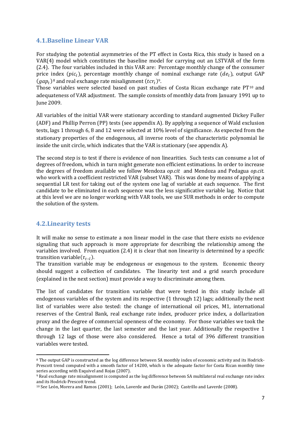#### **4.1.Baseline Linear VAR**

For studying the potential asymmetries of the PT effect in Costa Rica, this study is based on a VAR(4) model which constitutes the baseline model for carrying out an LSTVAR of the form (2.4). The four variables included in this VAR are: Percentage monthly change of the consumer price index ( $pic_t$ ), percentage monthly change of nominal exchange rate ( $de_t$ ), output GAP  $(gap_t)^8$  and real exchange rate misalignment  $(tcr_t)^9$ .

Those variables were selected based on past studies of Costa Rican exchange rate  $PT^{10}$  and adequateness of VAR adjustment. The sample consists of monthly data from January 199[1 u](#page-11-0)p to June 2009.

All variables of the initial VAR were stationary according to standard augmented Dickey Fuller (ADF) and Phillip Perron (PP) tests (see appendix A). By applying a sequence of Wald exclusion tests, lags 1 through 6, 8 and 12 were selected at 10% level of significance. As expected from the stationary properties of the endogenous, all inverse roots of the characteristic polynomial lie inside the unit circle, which indicates that the VAR is stationary (see appendix A).

The second step is to test if there is evidence of non linearities. Such tests can consume a lot of degrees of freedom, which in turn might generate non efficient estimations. In order to increase the degrees of freedom available we follow Mendoza *op.cit* and Mendoza and Pedagua *op.cit.* who work with a coefficient restricted VAR (subset VAR). This was done by means of applying a sequential LR test for taking out of the system one lag of variable at each sequence. The first candidate to be eliminated in each sequence was the less significative variable lag. Notice that at this level we are no longer working with VAR tools, we use SUR methods in order to compute the solution of the system.

#### **4.2.Linearity tests**

<u>.</u>

It will make no sense to estimate a non linear model in the case that there exists no evidence signaling that such approach is more appropriate for describing the relationship among the variables involved. From equation (2.4) it is clear that non linearity is determined by a specific transition variable( $\tau_{t-l}$ ).

The transition variable may be endogenous or exogenous to the system. Economic theory should suggest a collection of candidates. The linearity test and a grid search procedure (explained in the next section) must provide a way to discriminate among them.

The list of candidates for transition variable that were tested in this study include all endogenous variables of the system and its respective (1 through 12) lags; additionally the next list of variables were also tested: the change of international oil prices, M1, international reserves of the Central Bank, real exchange rate index, producer price index, a dollarization proxy and the degree of commercial openness of the economy. For those variables we took the change in the last quarter, the last semester and the last year. Additionally the respective 1 through 12 lags of those were also considered. Hence a total of 396 different transition variables were tested.

<sup>8</sup> The output GAP is constructed as the log difference between SA monthly index of economic activity and its Hodrick-Prescott trend computed with a smooth factor of 14200, which is the adequate factor for Costa Rican monthly time series according with Esquivel and Rojas (2007).

<sup>9</sup> Real exchange rate misalignment is computed as the log difference between SA multilateral real exchange rate index and its Hodrick-Prescott trend.

<span id="page-11-0"></span><sup>10</sup> See León, Morera and Ramos (2001); León, Laverde and Durán (2002); Castrillo and Laverde (2008).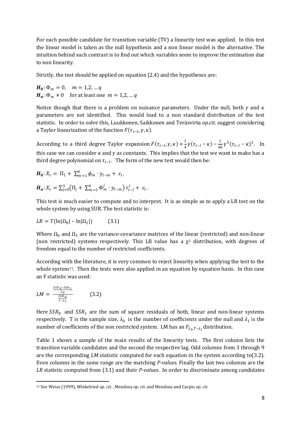For each possible candidate for transition variable (TV) a linearity test was applied. In this test the linear model is taken as the null hypothesis and a non linear model is the alternative. The intuition behind such contrast is to find out which variables seem to improve the estimation due to non linearity.

Strictly, the test should be applied on equation (2.4) and the hypotheses are:

 $H_0: \Phi_m = 0, \quad m = 1, 2, \dots q$  $H_a: \Phi_m \neq 0$  for at least one  $m = 1, 2, ...$  a

Notice though that there is a problem on nuisance parameters. Under the null, both  $\gamma$  and  $\kappa$ parameters are not identified. This would lead to a non standard distribution of the test statistic. In order to solve this, Luukkonen, Saikkonen and Teräsvirta *op.cit.* suggest considering a Taylor linearization of the function  $F(\tau_{t-l}, \gamma, \kappa)$ .

According to a third degree Taylor expansion  $F(\tau_{t-l}, \gamma, \kappa) \approx \frac{1}{4}$  $\frac{1}{4}\gamma(\tau_{t-l} - \kappa) - \frac{1}{48}$  $\frac{1}{48} \gamma^3 (\tau_{t-l} - \kappa)^3$ . In this case we can consider  $\kappa$  and  $\gamma$  as constants. This implies that the test we want to make has a third degree polynomial on  $\tau_{t-l}$ . The form of the new test would then be:

$$
H_0: X_t = \Pi_1 + \sum_{m=1}^q \phi_m \cdot y_{t-m} + \varepsilon_t.
$$
  

$$
H_a: X_t = \sum_{j=0}^3 (\Pi_j + \sum_{m=1}^q \Phi_m^j \cdot y_{t-m}) \tau_{t-l}^j + \varepsilon_t
$$

This test is much easier to compute and to interpret. It is as simple as to apply a LR test on the whole system by using SUR. The test statistic is:

.

$$
LR = T(\ln|\Omega_0| - \ln|\Omega_1|) \tag{3.1}
$$

Where  $\Omega_0$  and  $\Omega_1$  are the variance-covariance matrices of the linear (restricted) and non-linear (non restricted) systems respectively. This LR value has a  $\chi^2$  distribution, with degrees of freedom equal to the number of restricted coefficients.

According wi[th](#page-12-0) the literature, it is very common to reject linearity when applying the test to the whole system<sup>11</sup>. Then the tests were also applied in an equation by equation basis. In this case an F statistic was used:

$$
LM = \frac{\frac{SSR \, 0 - SSR \, 1}{\lambda_0}}{\frac{SSR \, 0}{T - \lambda_1}} \tag{3.2}
$$

-

Here  $SSR_0$  and  $SSR_1$  are the sum of square residuals of both, linear and non-linear systems respectively. T is the sample size,  $\lambda_0$  is the number of coefficients under the null and  $\lambda_1$  is the number of coefficients of the non restricted system. LM has an  $F_{\lambda _0,T-\lambda _1}$ distribution.

Table 1 shows a sample of the main results of the linearity tests. The first column lists the transition variable candidates and the second the respective lag. Odd columns from 3 through 9 are the corresponding *LM* statistic computed for each equation in the system according to(3.2). Even columns in the same range are the matching *P-values.* Finally the last two columns are the *LR* statistic computed from (3.1) and their *P-values*. In order to discriminate among candidates

<span id="page-12-0"></span><sup>11</sup> See Weise (1999), Winkelried *op. cit. ,* Mendoza *op. cit.* and Mendoza and Carpio *op. cit.*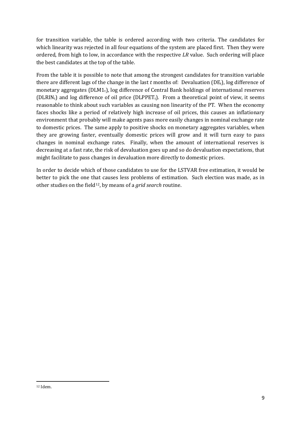for transition variable, the table is ordered according with two criteria. The candidates for which linearity was rejected in all four equations of the system are placed first. Then they were ordered, from high to low, in accordance with the respective *LR* value. Such ordering will place the best candidates at the top of the table.

From the table it is possible to note that among the strongest candidates for transition variable there are different lags of the change in the last *t* months of: Devaluation (DEt), log difference of monetary aggregates ( $DLM1_t$ ), log difference of Central Bank holdings of international reserves (DLRIN<sub>t</sub>) and log difference of oil price (DLPPET<sub>t</sub>). From a theoretical point of view, it seems reasonable to think about such variables as causing non linearity of the PT. When the economy faces shocks like a period of relatively high increase of oil prices, this causes an inflationary environment that probably will make agents pass more easily changes in nominal exchange rate to domestic prices. The same apply to positive shocks on monetary aggregates variables, when they are growing faster, eventually domestic prices will grow and it will turn easy to pass changes in nominal exchange rates. Finally, when the amount of international reserves is decreasing at a fast rate, the risk of devaluation goes up and so do devaluation expectations, that might facilitate to pass changes in devaluation more directly to domestic prices.

In order to decide which of those candidates to use for the LSTVAR free estimation, it would be better to pick the one t[hat](#page-13-0) causes less problems of estimation. Such election was made, as in other studies on the field<sup>12</sup> , by means of a *grid search* routine.

-

<span id="page-13-0"></span><sup>12</sup> Idem.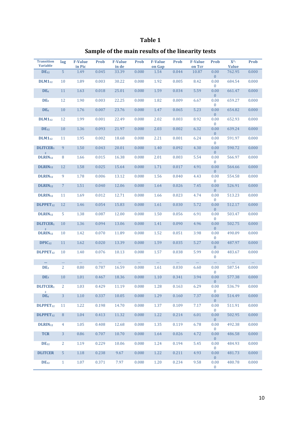### **Table 1**

# **Sample of the main results of the linearity tests**

| <b>Transition</b><br><b>Variable</b> | lag            | <b>F-Value</b><br>in Pic | <b>Prob</b> | <b>F-Value</b><br>in de | <b>Prob</b> | <b>F-Value</b><br>on Gap | Prob     | <b>F-Value</b><br>on Tcr | <b>Prob</b>            | $X^2-$<br><b>Value</b> | <b>Prob</b> |
|--------------------------------------|----------------|--------------------------|-------------|-------------------------|-------------|--------------------------|----------|--------------------------|------------------------|------------------------|-------------|
| $DE_{12}$                            | 5              | 1.49                     | 0.045       | 33.39                   | 0.000       | 1.54                     | 0.044    | 10.87                    | 0.00<br>$\overline{0}$ | 762.95                 | 0.000       |
| $DLM1_{12}$                          | 10             | 1.89                     | 0.003       | 30.22                   | 0.000       | 1.92                     | 0.005    | 8.42                     | 0.00<br>$\overline{0}$ | 684.54                 | 0.000       |
| DE <sub>6</sub>                      | 11             | 1.63                     | 0.018       | 25.01                   | 0.000       | 1.59                     | 0.034    | 5.59                     | 0.00<br>$\overline{0}$ | 661.47                 | 0.000       |
| DE <sub>6</sub>                      | 12             | 1.90                     | 0.003       | 22.25                   | 0.000       | 1.82                     | 0.009    | 6.67                     | 0.00<br>$\mathbf{0}$   | 659.27                 | 0.000       |
| DE <sub>6</sub>                      | 10             | 1.76                     | 0.007       | 23.76                   | 0.000       | 1.47                     | 0.065    | 5.23                     | 0.00<br>$\overline{0}$ | 654.82                 | 0.000       |
| $DLM1_{12}$                          | 12             | 1.99                     | 0.001       | 22.49                   | 0.000       | 2.02                     | 0.003    | 8.92                     | 0.00<br>$\overline{0}$ | 652.93                 | 0.000       |
| $DE_{12}$                            | 10             | 1.36                     | 0.093       | 21.97                   | 0.000       | 2.03                     | 0.002    | 6.32                     | 0.00<br>$\overline{0}$ | 639.24                 | 0.000       |
| $DLM1_{12}$                          | 11             | 1.95                     | 0.002       | 18.68                   | 0.000       | 2.21                     | 0.001    | 6.24                     | 0.00<br>$\mathbf{0}$   | 591.97                 | 0.000       |
| <b>DLITCER1</b><br>$\overline{2}$    | 9              | 1.50                     | 0.043       | 20.01                   | 0.000       | 1.40                     | 0.092    | 4.30                     | 0.00<br>$\overline{0}$ | 590.72                 | 0.000       |
| DLRIN <sub>12</sub>                  | 8              | 1.66                     | 0.015       | 16.38                   | 0.000       | 2.01                     | 0.003    | 5.54                     | 0.00<br>$\overline{0}$ | 566.97                 | 0.000       |
| $DLRIN_{12}$                         | 12             | 1.58                     | 0.025       | 15.64                   | 0.000       | 1.71                     | 0.017    | 4.91                     | 0.00<br>$\overline{0}$ | 564.66                 | 0.000       |
| $DLRIN_{12}$                         | 9              | 1.78                     | 0.006       | 13.12                   | 0.000       | 1.56                     | 0.040    | 4.43                     | 0.00<br>$\mathbf{0}$   | 554.58                 | 0.000       |
| $DLRIN_{12}$                         | $\mathcal{I}$  | 1.51                     | 0.040       | 12.06                   | 0.000       | 1.64                     | 0.026    | 7.45                     | 0.00<br>$\overline{0}$ | 526.91                 | 0.000       |
| DLRIN <sub>12</sub>                  | 11             | 1.69                     | 0.012       | 12.71                   | 0.000       | 1.66                     | 0.023    | 4.74                     | 0.00<br>$\overline{0}$ | 513.23                 | 0.000       |
| <b>DLPPET<sub>12</sub></b>           | 12             | 1.46                     | 0.054       | 15.83                   | 0.000       | 1.61                     | 0.030    | 5.72                     | 0.00<br>$\overline{0}$ | 512.17                 | 0.000       |
| $DLRIN_{12}$                         | 5              | 1.38                     | 0.087       | 12.00                   | 0.000       | 1.50                     | 0.056    | 6.91                     | 0.00<br>$\overline{0}$ | 503.47                 | 0.000       |
| <b>DLITCER1</b><br>$\overline{2}$    | 10             | 1.36                     | 0.094       | 13.06                   | 0.000       | 1.41                     | 0.090    | 4.96                     | 0.00<br>$\overline{0}$ | 502.75                 | 0.000       |
| DLRIN <sub>12</sub>                  | 10             | 1.42                     | 0.070       | 11.89                   | 0.000       | 1.52                     | 0.051    | 3.98                     | 0.00<br>$\overline{0}$ | 490.09                 | 0.000       |
| DPIC <sub>12</sub>                   | 11             | 1.62                     | 0.020       | 13.39                   | 0.000       | 1.59                     | 0.035    | 5.27                     | 0.00<br>$\overline{0}$ | 487.97                 | 0.000       |
| DLPPET <sub>12</sub>                 | 10             | 1.40                     | 0.076       | 10.13                   | 0.000       | 1.57                     | 0.038    | 5.99                     | 0.00<br>$\bf{0}$       | 483.67                 | 0.000       |
| m.                                   |                | $\ldots$                 | $\ldots$    | $\ldots$                | $\ldots$    | $\ldots$                 | $\ldots$ | $\ldots$                 | $\ldots$               | $\ldots$               | $\ldots$    |
| DE <sub>3</sub>                      | 2              | 0.80                     | 0.787       | 16.59                   | 0.000       | 1.61                     | 0.030    | 6.60                     | 0.00<br>$\overline{0}$ | 587.54                 | 0.000       |
| DE <sub>3</sub>                      | 10             | 1.01                     | 0.467       | 18.36                   | 0.000       | 1.10                     | 0.341    | 3.94                     | 0.00<br>$\mathbf{0}$   | 577.38                 | 0.000       |
| <b>DLITCER1</b><br>$\overline{2}$    | 2              | 1.03                     | 0.429       | 11.19                   | 0.000       | 1.28                     | 0.163    | 6.29                     | 0.00<br>$\theta$       | 536.79                 | 0.000       |
| DE <sub>6</sub>                      | 3              | $1.10\,$                 | 0.337       | 10.05                   | 0.000       | 1.29                     | 0.160    | 7.37                     | 0.00<br>$\mathbf{0}$   | 514.49                 | 0.000       |
| DLPPET <sub>12</sub>                 | 11             | 1.22                     | 0.198       | 14.70                   | 0.000       | 1.37                     | 0.109    | 7.17                     | 0.00<br>$\mathbf{0}$   | 511.91                 | 0.000       |
| DLPPET <sub>12</sub>                 | $\, 8$         | 1.04                     | 0.413       | 11.32                   | 0.000       | 1.22                     | 0.214    | 6.01                     | 0.00<br>$\overline{0}$ | 502.95                 | 0.000       |
| DLRIN <sub>12</sub>                  | 4              | 1.05                     | 0.408       | 12.68                   | 0.000       | 1.35                     | 0.119    | 6.78                     | 0.00<br>$\overline{0}$ | 492.38                 | 0.000       |
| <b>TCR</b>                           | 3              | 0.86                     | 0.707       | 10.70                   | 0.000       | 1.64                     | 0.026    | 4.72                     | 0.00<br>$\overline{0}$ | 486.58                 | 0.000       |
| $DE_{12}$                            | $\overline{2}$ | 1.19                     | 0.229       | 10.06                   | 0.000       | 1.24                     | 0.194    | 5.45                     | 0.00<br>$\overline{0}$ | 484.93                 | 0.000       |
| <b>DLITCER</b>                       | 5 <sup>5</sup> | 1.18                     | 0.238       | 9.67                    | 0.000       | 1.22                     | 0.211    | 4.93                     | 0.00<br>$\overline{0}$ | 481.73                 | 0.000       |
| $DE_{12}$                            | $\mathbf{1}$   | 1.07                     | 0.371       | 7.97                    | 0.000       | 1.20                     | 0.234    | 9.58                     | 0.00<br>$\bf{0}$       | 480.78                 | 0.000       |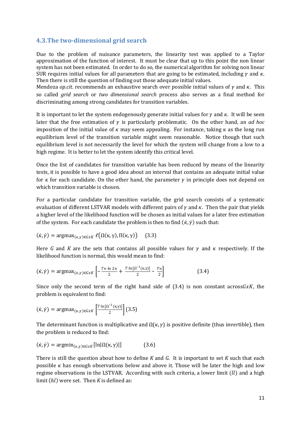#### **4.3.The two-dimensional grid search**

Due to the problem of nuisance parameters, the linearity test was applied to a Taylor approximation of the function of interest. It must be clear that up to this point the non linear system has not been estimated. In order to do so, the numerical algorithm for solving non linear SUR requires initial values for all parameters that are going to be estimated, including  $\gamma$  and  $\kappa$ . Then there is still the question of finding out those adequate initial values.

Mendoza *op.cit.* recommends an exhaustive search over possible initial values of  $\gamma$  and  $\kappa$ . This so called *grid search* or *two dimensional search* process also serves as a final method for discriminating among strong candidates for transition variables.

It is important to let the system endogenously generate initial values for  $\gamma$  and  $\kappa$ . It will be seen later that the free estimation of  $\gamma$  is particularly problematic. On the other hand, an *ad hoc* imposition of the initial value of  $\kappa$  may seem appealing. For instance, taking  $\kappa$  as the long run equilibrium level of the transition variable might seem reasonable. Notice though that such equilibrium level is not necessarily the level for which the system will change from a low to a high regime. It is better to let the system identify this critical level.

Once the list of candidates for transition variable has been reduced by means of the linearity tests, it is possible to have a good idea about an interval that contains an adequate initial value for  $\kappa$  for each candidate. On the other hand, the parameter  $\gamma$  in principle does not depend on which transition variable is chosen.

For a particular candidate for transition variable, the grid search consists of a systematic evaluation of different LSTVAR models with different pairs of  $\gamma$  and  $\kappa$ . Then the pair that yields a higher level of the likelihood function will be chosen as initial values for a later free estimation of the system. For each candidate the problem is then to find  $(\dot{\kappa}, \dot{\gamma})$  such that:

$$
(\dot{\kappa}, \dot{\gamma}) = \operatorname{argmax}_{(\kappa, \gamma) \in GxK} \ell(\Omega(\kappa, \gamma), \Pi(\kappa, \gamma)) \quad (3.3)
$$

Here G and K are the sets that contains all possible values for  $\gamma$  and  $\kappa$  respectively. If the likelihood function is normal, this would mean to find:

$$
(\dot{\kappa}, \dot{\gamma}) = \text{argmax}_{(\kappa, \gamma) \in GxK} \left[ -\frac{Tn \cdot \ln 2\pi}{2} + \frac{T \cdot \ln |\Omega^{-1}(\kappa, \gamma)|}{2} - \frac{Tn}{2} \right]
$$
(3.4)

Since only the second term of the right hand side of  $(3.4)$  is non constant across  $GxK$ , the problem is equivalent to find:

$$
\left(\dot{\kappa},\dot{\gamma}\right)=\operatorname{argmax}_{(\kappa,\gamma)\in GxK}\left[\tfrac{T\cdot\ln\left|\Omega^{-1}(\kappa,\gamma)\right|}{2}\right](3.5)
$$

The determinant function is multiplicative and  $\Omega(\kappa, \gamma)$  is positive definite (thus invertible), then the problem is reduced to find:

$$
(\dot{\kappa}, \dot{\gamma}) = \operatorname{argmin}_{(\kappa, \gamma) \in GxK} [\ln |\Omega(\kappa, \gamma)|] \tag{3.6}
$$

There is still the question about how to define *K* and *G*. It is important to set *K* such that each possible  $\kappa$  has enough observations below and above it. Those will be later the high and low regime observations in the LSTVAR. According with such criteria, a lower limit  $(11)$  and a high limit (hl) were set. Then *K* is defined as: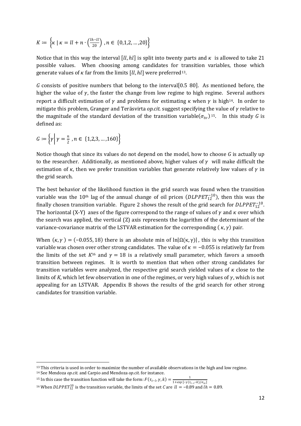$$
K := \left\{ \kappa \mid \kappa = ll + n \cdot \left( \frac{lh - ll}{20} \right), n \in \{0, 1, 2, ..., 20\} \right\}
$$

Notice that in this way the interval  $\lbrack ll, hl\rbrack$  is split into twenty parts and  $\kappa$  is allowed to take 21 possible values. When choosing among candidates for [tr](#page-16-0)ansition variables, those which generate values of  $\kappa$  far from the limits  $[ll, hl]$  were preferred<sup>13</sup>.

*G* consists of positive numbers that belong to the interval[0.5 80]. As mentioned before, the higher the value of  $\gamma$ , the faster the change from low regime to high regime. Several authors report a difficult estimation of  $\gamma$  and problems for estimating  $\kappa$  when  $\gamma$  is high<sup>14</sup>. In order to mitigate this problem, Granger and Teräsvirta *op.cit.* suggest specifying the value of  $\gamma$  relative to the magnitude of the standard deviation of the transition variable $(\sigma_{tv})$ <sup>15</sup>. In this study G is defined as:

$$
G := \left\{ \gamma \middle| \gamma = \frac{n}{2}, n \in \{1, 2, 3, ..., 160\} \right\}
$$

Notice though that since its values do not depend on the model, how to choose *G* is actually up to the researcher. Additionally, as mentioned above, higher values of  $\gamma$  will make difficult the estimation of  $\kappa$ , then we prefer transition variables that generate relatively low values of  $\gamma$  in the grid search*.*

The best behavior of the likelihood function in the grid search was found when the transition variable was the 10<sup>th</sup> lag of the annual change of oil prices ( $DLPPET_{12}^{-10}$ ), then this was the finally chosen transition variable. Figure 2 shows the result of the grid search for  $DLPPET_{12}^{-10}$ . The horizontal (X-Y) axes of the figure correspond to the range of values of  $\gamma$  and  $\kappa$  over which the search was applied, the vertical (Z) axis represents the logarithm of the determinant of the variance-covariance matrix of the LSTVAR estimation for the corresponding ( $\kappa$ , $\gamma$ ) pair.

When  $(\kappa, \gamma) = (-0.055, 18)$  there is an absolute min of ln $|\Omega(\kappa, \gamma)|$ , this is why this transition variable was chosen ov[er](#page-16-1) other strong candidates. The value of  $\kappa = -0.055$  is relatively far from the limits of the set  $K^{16}$  and  $\gamma = 18$  is a relatively small parameter, which favors a smooth transition between regimes. It is worth to mention that when other strong candidates for transition variables were analyzed, the respective grid search yielded values of  $\kappa$  close to the limits of *K*, which let few observation in one of the regimes, or very high values of  $\gamma$ , which is not appealing for an LSTVAR. Appendix B shows the results of the grid search for other strong candidates for transition variable.

<sup>14</sup> See Mendoza *op.cit.* and Carpio and Mendoza *op.cit.* for instance.

.<br>-

<sup>15</sup> In this case the transition function will take the form:  $F(\tau_{t-l}, \gamma, k) = \frac{1}{1 + exp[-\gamma(\tau_{t-l})^2]}$  $1+ exp\left[-\gamma(\tau_{t-l}-k)/\sigma_{tv}\right]$ 

<span id="page-16-0"></span><sup>&</sup>lt;sup>13</sup> This criteria is used in order to maximize the number of available observations in the high and low regime.

<span id="page-16-1"></span><sup>&</sup>lt;sup>16</sup> When *DLPPET*<sup>10</sup> is the transition variable, the limits of the set *C* are  $ll = -0.89$  and  $lh = 0.89$ .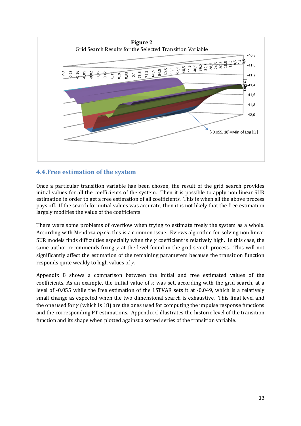

#### **4.4.Free estimation of the system**

Once a particular transition variable has been chosen, the result of the grid search provides initial values for all the coefficients of the system. Then it is possible to apply non linear SUR estimation in order to get a free estimation of all coefficients. This is when all the above process pays off. If the search for initial values was accurate, then it is not likely that the free estimation largely modifies the value of the coefficients.

There were some problems of overflow when trying to estimate freely the system as a whole. According with Mendoza *op.cit.* this is a common issue. Eviews algorithm for solving non linear SUR models finds difficulties especially when the  $\gamma$  coefficient is relatively high. In this case, the same author recommends fixing  $\gamma$  at the level found in the grid search process. This will not significantly affect the estimation of the remaining parameters because the transition function responds quite weakly to high values of  $\gamma$ .

Appendix B shows a comparison between the initial and free estimated values of the coefficients. As an example, the initial value of  $\kappa$  was set, according with the grid search, at a level of -0.055 while the free estimation of the LSTVAR sets it at -0.049, which is a relatively small change as expected when the two dimensional search is exhaustive. This final level and the one used for  $\gamma$  (which is 18) are the ones used for computing the impulse response functions and the corresponding PT estimations. Appendix C illustrates the historic level of the transition function and its shape when plotted against a sorted series of the transition variable.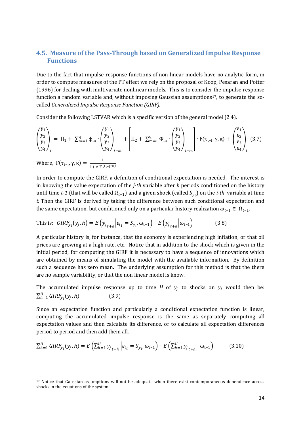#### **4.5. Measure of the Pass-Through based on Generalized Impulse Response Functions**

Due to the fact that impulse response functions of non linear models have no analytic form, in order to compute measures of the PT effect we rely on the proposal of Koop, Pesaran and Potter (1996) for dealing with multivariate nonlinear models. This is to conside[r th](#page-18-0)e impulse response function a random variable and, without imposing Gaussian assumptions<sup>17</sup>, to generate the socalled *Generalized Impulse Response Function (GIRF).* 

Consider the following LSTVAR which is a specific version of the general model (2.4).

$$
\begin{pmatrix} y_1 \\ y_2 \\ y_3 \\ y_4 \end{pmatrix}_t = \Pi_1 + \Sigma_{m=1}^q \Phi_m \cdot \begin{pmatrix} y_1 \\ y_2 \\ y_3 \\ y_4 \end{pmatrix}_{t-m} + \left[ \Pi_2 + \Sigma_{m=1}^q \Phi_m \cdot \begin{pmatrix} y_1 \\ y_2 \\ y_3 \\ y_4 \end{pmatrix}_{t-m} \right] \cdot F(\tau_{t-l}, \gamma, \kappa) + \begin{pmatrix} \epsilon_1 \\ \epsilon_2 \\ \epsilon_3 \\ \epsilon_4 \end{pmatrix}_t (3.7)
$$

Where,  $F(\tau_{t-l}, \gamma, \kappa) = \frac{1}{1 + e^{-\gamma(\gamma)}}$  $1+e^{-\gamma(\tau_{t-l}-\kappa)}$ 

-

In order to compute the GIRF, a definition of conditional expectation is needed. The interest is in knowing the value expectation of the *j-th* variable after *h* periods conditioned on the history until time *t-1* (that will be called  $Ω_{t-1}$ ) and a given shock (called  $S_{y_i}$ ) on the *i-th* variable at time *t.* Then the GIRF is derived by taking the difference between such conditional expectation and the same expectation, but conditioned only on a particular history realization  $\omega_{t-1} \in \Omega_{t-1}$ .

This is: 
$$
GIRF_{y_i}(y_j, h) = E(y_{j_{t+h}}| \varepsilon_{i_t} = S_{y_i}, \omega_{t-1}) - E(y_{j_{t+h}}|\omega_{t-1})
$$
 (3.8)

A particular history is, for instance, that the economy is experiencing high inflation, or that oil prices are growing at a high rate, etc. Notice that in addition to the shock which is given in the initial period, for computing the GIRF it is necessary to have a sequence of innovations which are obtained by means of simulating the model with the available information. By definition such a sequence has zero mean. The underlying assumption for this method is that the there are no sample variability, or that the non linear model is know.

The accumulated impulse response up to time  $H$  of  $y_j$  to shocks on  $y_i$  would then be:  $\sum_{h=1}^{H} GIRF_{y_i}(y_j, h)$  (3.9)

Since an expectation function and particularly a conditional expectation function is linear, computing the accumulated impulse response is the same as separately computing all expectation values and then calculate its difference, or to calculate all expectation differences period to period and then add them all.

$$
\sum_{h=1}^{H} GIRF_{y_i}(y_j, h) = E\left(\sum_{h=1}^{H} y_{j_{t+h}} \left| \varepsilon_{i_t} = S_{y_i}, \omega_{t-1}\right. \right) - E\left(\sum_{h=1}^{H} y_{j_{t+h}} \left| \omega_{t-1}\right.\right) \tag{3.10}
$$

<span id="page-18-0"></span><sup>17</sup> Notice that Gaussian assumptions will not be adequate when there exist contemporaneous dependence across shocks in the equations of the system.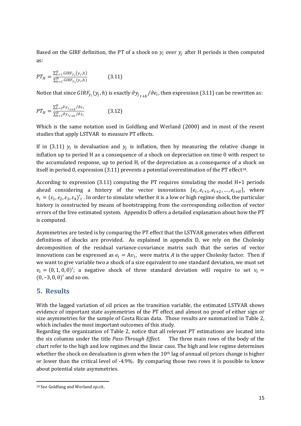Based on the GIRF definition, the PT of a shock on  $y_i$  over  $y_i$  after H periods is then computed as:

$$
PT_{H} = \frac{\sum_{h=1}^{H} GIRF_{y_{i}}(y_{j}, h)}{\sum_{h=1}^{H} GIRF_{y_{i}}(y_{i}, h)}
$$
(3.11)

Notice that since  $GIRF_{y_i}(y_j,h)$  is exactly  ${\partial y_j}_{t+h}/{\partial e_i}$ , then expression (3.11) can be rewritten as:

$$
PT_{H} = \frac{\sum_{h=1}^{H} \partial y_{j_{t+h}} / \partial \varepsilon_{i}}{\sum_{h=1}^{H} \partial y_{i_{t+h}} / \partial \varepsilon_{i}}
$$
(3.12)

Which is the same notation used in Goldfang and Werland (2000) and in most of the resent studies that apply LSTVAR to measure PT effects.

If in (3.11)  $y_i$  is devaluation and  $y_j$  is inflation, then by measuring the relative change in inflation up to period H as a consequence of a shock on depreciation on time 0 with respect to the accumulated response, up to period H, of the depreciation as a consequence of a [sh](#page-19-0)ock on itself in period 0, expression  $(3.11)$  prevents a potential overestimation of the PT effect<sup>18</sup>.

According to expression (3.11) computing the PT requires simulating the model H+1 periods ahead considering a history of the vector innovations  $\{e_t, e_{t+1}, e_{t+2}, ..., e_{t+H}\}$ , where  $e_t = (\varepsilon_1, \varepsilon_2, \varepsilon_3, \varepsilon_4)'_t$ . In order to simulate whether it is a low or high regime shock, the particular history is constructed by means of bootstrapping from the corresponding collection of vector errors of the free estimated system. Appendix D offers a detailed explanation about how the PT is computed.

Asymmetries are tested is by comparing the PT effect that the LSTVAR generates when different definitions of shocks are provided. As explained in appendix D, we rely on the Cholesky decomposition of the residual variance-covariance matrix such that the series of vector innovations can be expressed as  $e_t = Av_t$ , were matrix A is the upper Cholesky factor. Then if we want to give variable two a shock of a size equivalent to one standard deviation, we must set  $v_t = (0, 1, 0, 0)'$ ; a negative shock of three standard deviation will require to set  $v_t =$ (0, −3, 0, 0)′ and so on.

#### **5. Results**

-

With the lagged variation of oil prices as the transition variable, the estimated LSTVAR shows evidence of important state asymmetries of the PT effect and almost no proof of either sign or size asymmetries for the sample of Costa Rican data. Those results are summarized in Table 2, which includes the most important outcomes of this study.

Regarding the organization of Table 2, notice that all relevant PT estimations are located into the six columns under the title *Pass-Through Effect*. The three main rows of the body of the chart refer to the high and low regimes and the linear case. The high and low regime determines whether the shock on devaluation is given when the 10<sup>th</sup> lag of annual oil prices change is higher or lower than the critical level of -4.9%. By comparing those two rows it is possible to know about potential state asymmetries.

<span id="page-19-0"></span><sup>18</sup> See Goldfang and Werland *op.cit.*.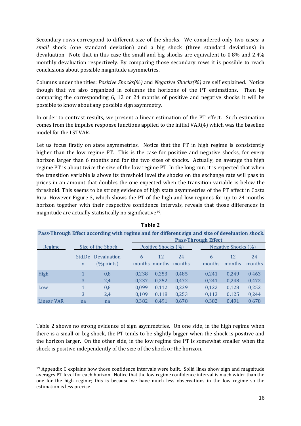Secondary rows correspond to different size of the shocks. We considered only two cases: a *small* shock (one standard deviation) and a big shock (three standard deviations) in devaluation. Note that in this case the small and big shocks are equivalent to 0.8% and 2.4% monthly devaluation respectively. By comparing those secondary rows it is possible to reach conclusions about possible magnitude asymmetries.

Columns under the titles: *Positive Shocks(%)* and *Negative Shocks(%)* are self explained. Notice though that we also organized in columns the horizons of the PT estimations. Then by comparing the corresponding 6, 12 or 24 months of positive and negative shocks it will be possible to know about any possible sign asymmetry.

In order to contrast results, we present a linear estimation of the PT effect. Such estimation comes from the impulse response functions applied to the initial VAR(4) which was the baseline model for the LSTVAR.

Let us focus firstly on state asymmetries. Notice that the PT in high regime is consistently higher than the low regime PT. This is the case for positive and negative shocks, for every horizon larger than 6 months and for the two sizes of shocks. Actually, on average the high regime PT is about twice the size of the low regime PT. In the long run, it is expected that when the transition variable is above its threshold level the shocks on the exchange rate will pass to prices in an amount that doubles the one expected when the transition variable is below the threshold. This seems to be strong evidence of high state asymmetries of the PT effect in Costa Rica. However Figure 3, which shows the PT of the high and low regimes for up to 24 months horizon together with their respective confidenc[e](#page-20-0) intervals, reveals that those differences in magnitude are actually statistically no significative<sup>19</sup>.

| Pass-Through Effect according with regime and for different sign and size of develuation shock. |                        |                              |                |                            |                |  |                |                     |                |  |  |  |
|-------------------------------------------------------------------------------------------------|------------------------|------------------------------|----------------|----------------------------|----------------|--|----------------|---------------------|----------------|--|--|--|
|                                                                                                 |                        |                              |                | <b>Pass-Through Effect</b> |                |  |                |                     |                |  |  |  |
| Regime                                                                                          |                        | Size of the Shock            |                | Positive Shocks (%)        |                |  |                | Negative Shocks (%) |                |  |  |  |
|                                                                                                 | Std.De<br>$\mathbf{V}$ | Devaluation<br>$(\%$ points) | 6              | 12<br>months months        | 24<br>months   |  | 6<br>months    | 12<br>months        | 24<br>months   |  |  |  |
| High                                                                                            | 3                      | 0,8<br>2,4                   | 0.238<br>0,237 | 0.253<br>0,252             | 0,485<br>0,472 |  | 0,241<br>0,241 | 0.249<br>0,248      | 0,463<br>0,472 |  |  |  |
| Low                                                                                             | 3                      | 0,8<br>2,4                   | 0,099<br>0,109 | 0,112<br>0,118             | 0,239<br>0,253 |  | 0,122<br>0,113 | 0,128<br>0,125      | 0,252<br>0,244 |  |  |  |
| <b>Linear VAR</b>                                                                               | na                     | na                           | 0.382          | 0.491                      | 0.678          |  | 0,382          | 0.491               | 0,678          |  |  |  |

**Table 2**

Table 2 shows no strong evidence of sign asymmetries. On one side, in the high regime when there is a small or big shock, the PT tends to be slightly bigger when the shock is positive and the horizon larger. On the other side, in the low regime the PT is somewhat smaller when the shock is positive independently of the size of the shock or the horizon.

-

<span id="page-20-0"></span> $19$  Appendix C explains how those confidence intervals were built. Solid lines show sign and magnitude averages PT level for each horizon. Notice that the low regime confidence interval is much wider than the one for the high regime; this is because we have much less observations in the low regime so the estimation is less precise.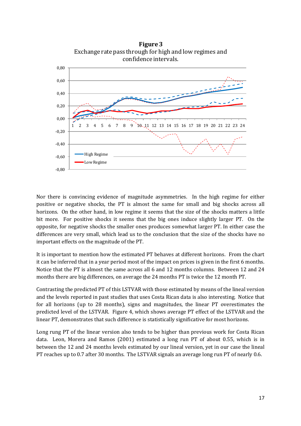

Nor there is convincing evidence of magnitude asymmetries. In the high regime for either positive or negative shocks, the PT is almost the same for small and big shocks across all horizons. On the other hand, in low regime it seems that the size of the shocks matters a little bit more. For positive shocks it seems that the big ones induce slightly larger PT. On the opposite, for negative shocks the smaller ones produces somewhat larger PT. In either case the differences are very small, which lead us to the conclusion that the size of the shocks have no important effects on the magnitude of the PT.

It is important to mention how the estimated PT behaves at different horizons. From the chart it can be inferred that in a year period most of the impact on prices is given in the first 6 months. Notice that the PT is almost the same across all 6 and 12 months columns. Between 12 and 24 months there are big differences, on average the 24 months PT is twice the 12 month PT.

Contrasting the predicted PT of this LSTVAR with those estimated by means of the lineal version and the levels reported in past studies that uses Costa Rican data is also interesting. Notice that for all horizons (up to 28 months), signs and magnitudes, the linear PT overestimates the predicted level of the LSTVAR. Figure 4, which shows average PT effect of the LSTVAR and the linear PT, demonstrates that such difference is statistically significative for most horizons.

Long rung PT of the linear version also tends to be higher than previous work for Costa Rican data. Leon, Morera and Ramos (2001) estimated a long run PT of about 0.55, which is in between the 12 and 24 months levels estimated by our lineal version, yet in our case the lineal PT reaches up to 0.7 after 30 months. The LSTVAR signals an average long run PT of nearly 0.6.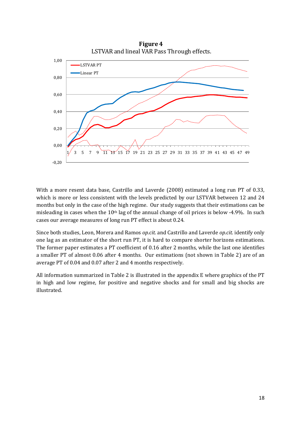

With a more resent data base, Castrillo and Laverde (2008) estimated a long run PT of 0.33, which is more or less consistent with the levels predicted by our LSTVAR between 12 and 24 months but only in the case of the high regime. Our study suggests that their estimations can be misleading in cases when the  $10<sup>th</sup>$  lag of the annual change of oil prices is below -4.9%. In such cases our average measures of long run PT effect is about 0.24.

Since both studies, Leon, Morera and Ramos *op.cit.* and Castrillo and Laverde *op.cit.* identify only one lag as an estimator of the short run PT, it is hard to compare shorter horizons estimations. The former paper estimates a PT coefficient of 0.16 after 2 months, while the last one identifies a smaller PT of almost 0.06 after 4 months. Our estimations (not shown in Table 2) are of an average PT of 0.04 and 0.07 after 2 and 4 months respectively.

All information summarized in Table 2 is illustrated in the appendix E where graphics of the PT in high and low regime, for positive and negative shocks and for small and big shocks are illustrated.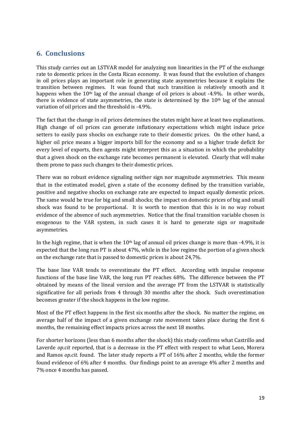### **6. Conclusions**

This study carries out an LSTVAR model for analyzing non linearities in the PT of the exchange rate to domestic prices in the Costa Rican economy. It was found that the evolution of changes in oil prices plays an important role in generating state asymmetries because it explains the transition between regimes. It was found that such transition is relatively smooth and it happens when the 10<sup>th</sup> lag of the annual change of oil prices is about -4.9%. In other words, there is evidence of state asymmetries, the state is determined by the  $10<sup>th</sup>$  lag of the annual variation of oil prices and the threshold is -4.9%.

The fact that the change in oil prices determines the states might have at least two explanations. High change of oil prices can generate inflationary expectations which might induce price setters to easily pass shocks on exchange rate to their domestic prices. On the other hand, a higher oil price means a bigger imports bill for the economy and so a higher trade deficit for every level of exports, then agents might interpret this as a situation in which the probability that a given shock on the exchange rate becomes permanent is elevated. Clearly that will make them prone to pass such changes to their domestic prices.

There was no robust evidence signaling neither sign nor magnitude asymmetries. This means that in the estimated model, given a state of the economy defined by the transition variable, positive and negative shocks on exchange rate are expected to impact equally domestic prices. The same would be true for big and small shocks; the impact on domestic prices of big and small shock was found to be proportional. It is worth to mention that this is in no way robust evidence of the absence of such asymmetries. Notice that the final transition variable chosen is exogenous to the VAR system, in such cases it is hard to generate sign or magnitude asymmetries.

In the high regime, that is when the  $10<sup>th</sup>$  lag of annual oil prices change is more than -4.9%, it is expected that the long run PT is about 47%, while in the low regime the portion of a given shock on the exchange rate that is passed to domestic prices is about 24,7%.

The base line VAR tends to overestimate the PT effect. According with impulse response functions of the base line VAR, the long run PT reaches 68%. The difference between the PT obtained by means of the lineal version and the average PT from the LSTVAR is statistically significative for all periods from 4 through 30 months after the shock. Such overestimation becomes greater if the shock happens in the low regime.

Most of the PT effect happens in the first six months after the shock. No matter the regime, on average half of the impact of a given exchange rate movement takes place during the first 6 months, the remaining effect impacts prices across the next 18 months.

For shorter horizons (less than 6 months after the shock) this study confirms what Castrillo and Laverde *op.cit* reported, that is a decrease in the PT effect with respect to what Leon, Morera and Ramos *op.cit.* found.The later study reports a PT of 16% after 2 months, while the former found evidence of 6% after 4 months. Our findings point to an average 4% after 2 months and 7% once 4 months has passed.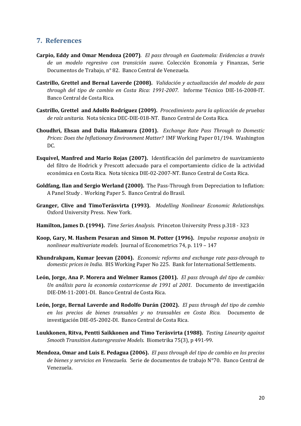#### **7. References**

- **Carpio, Eddy and Omar Mendoza (2007)**. *El pass through en Guatemala: Evidencias a través de un modelo regresivo con transición suave.* Colección Economía y Finanzas, Serie Documentos de Trabajo, n° 82. Banco Central de Venezuela.
- **Castrillo, Grettel and Bernal Laverde (2008).** *Validación y actualización del modelo de pass through del tipo de cambio en Costa Rica: 1991-2007.* Informe Técnico DIE-16-2008-IT. Banco Central de Costa Rica.
- **Castrillo, Grettel and Adolfo Rodríguez (2009).** *Procedimiento para la aplicación de pruebas de raíz unitaria.* Nota técnica DEC-DIE-018-NT. Banco Central de Costa Rica.
- **Choudhri, Ehsan and Dalia Hakamura (2001).** *Exchange Rate Pass Through to Domestic Prices: Does the Inflationary Environment Matter?* IMF Working Paper 01/194. Washington DC.
- **Esquivel, Manfred and Mario Rojas (2007).** Identificación del parámetro de suavizamiento del filtro de Hodrick y Prescott adecuado para el comportamiento cíclico de la actividad económica en Costa Rica. Nota técnica DIE-02-2007-NT. Banco Central de Costa Rica.
- **Goldfang, Ilan and Sergio Werland (2000).** The Pass-Through from Depreciation to Inflation: A Panel Study . Working Paper 5. Banco Central do Brasil.
- **Granger, Clive and TimoTeräsvirta (1993).** *Modelling Nonlinear Economic Relationships.* Oxford University Press. New York.
- **Hamilton, James D. (1994).** *Time Series Analysis.* Princeton University Press p.318 323
- **Koop, Gary, M. Hashem Pesaran and Simon M. Potter (1996).** *Impulse response analysis in nonlinear multivariate models.* Journal of Econometrics 74, p. 119 – 147
- **Khundrakpam, Kumar Jeevan (2004).** *Economic reforms and exchange rate pass-through to domestic prices in India.* BIS Working Paper No 225. Bank for International Settlements.
- **León, Jorge, Ana P. Morera and Welmer Ramos (2001).** *El pass through del tipo de cambio: Un análisis para la economía costarricense de 1991 al 2001.* Documento de investigación DIE-DM-11-2001-DI. Banco Central de Costa Rica.
- **León, Jorge, Bernal Laverde and Rodolfo Durán (2002).** *El pass through del tipo de cambio en los precios de bienes transables y no transables en Costa Rica.* Documento de investigación DIE-05-2002-DI. Banco Central de Costa Rica.
- **Luukkonen, Ritva, Pentti Saikkonen and Timo Teräsvirta (1988).** *Testing Linearity against Smooth Transition Autoregressive Models.* Biometrika 75(3), p 491-99.
- **Mendoza, Omar and Luis E. Pedagua (2006).** *El pass through del tipo de cambio en los precios de bienes y servicios en Venezuela.* Serie de documentos de trabajo N°70. Banco Central de Venezuela.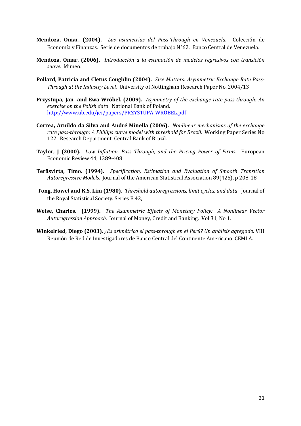- **Mendoza, Omar. (2004).** *Las asumetrías del Pass-Through en Venezuela.* Colección de Economía y Finanzas. Serie de documentos de trabajo N°62. Banco Central de Venezuela.
- **Mendoza, Omar. (2006).** *Introducción a la estimación de modelos regresivos con transición suave.* Mimeo.
- **Pollard, Patricia and Cletus Coughlin (2004).** *Size Matters: Asymmetric Exchange Rate Pass-Through at the Industry Level.* University of Nottingham Research Paper No. 2004/13
- **Przystupa, Jan and Ewa Wróbel. (2009).** *Asymmetry of the exchange rate pass-through: An exercise on the Polish data*. National Bank of Poland. http://www.ub.edu/jei/papers/PRZYSTUPA-WROBEL.pdf
- **Correa, Arnildo da Silva and André Minella (2006).** *Nonlinear mechanisms of the exchange rate pass-through: A Phillips curve model with threshold for Brazil.* Working Paper Series No 122. Research Department, Central Bank of Brazil.
- **Taylor, J (2000).** *Low Inflation, Pass Through, and the Pricing Power of Firms.* European Economic Review 44, 1389-408
- **Teräsvirta, Timo. (1994).** *Specification, Estimation and Evaluation of Smooth Transition Autoregressive Models.* Journal of the American Statistical Association 89(425), p 208-18.
- **Tong, Howel and K.S. Lim (1980).** *Threshold autoregressions, limit cycles, and data*. Journal of the Royal Statistical Society. Series B 42,
- **Weise, Charles. (1999).** *The Asummetric Effects of Monetary Policy: A Nonlinear Vector Autoregression Approach.* Journal of Money, Credit and Banking. Vol 31, No 1.
- **Winkelried, Diego (2003).** *¿Es asimétrico el pass-through en el Perú? Un análisis agregado.* VIII Reunión de Red de Investigadores de Banco Central del Continente Americano. CEMLA.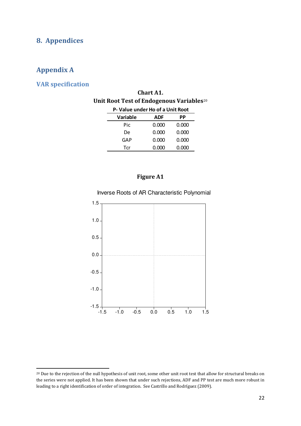### **8. Appendices**

### **Appendix A**

<u>.</u>

#### **VAR specification**

| Chart A1.                                            |
|------------------------------------------------------|
| Unit Root Test of Endogenous Variables <sup>20</sup> |

| P-Value under Ho of a Unit Root |       |       |  |  |  |  |  |  |  |
|---------------------------------|-------|-------|--|--|--|--|--|--|--|
| Variable                        | ADF   | РP    |  |  |  |  |  |  |  |
| Pic                             | 0.000 | 0.000 |  |  |  |  |  |  |  |
| De                              | 0.000 | 0.000 |  |  |  |  |  |  |  |
| GAP                             | 0.000 | 0.000 |  |  |  |  |  |  |  |
| Tcr                             | 0.000 | 0.000 |  |  |  |  |  |  |  |

#### **Figure A1**





<span id="page-26-0"></span><sup>20</sup> Due to the rejection of the null hypothesis of unit root, some other unit root test that allow for structural breaks on the series were not applied. It has been shown that under such rejections, ADF and PP test are much more robust in leading to a right identification of order of integration. See Castrillo and Rodríguez (2009).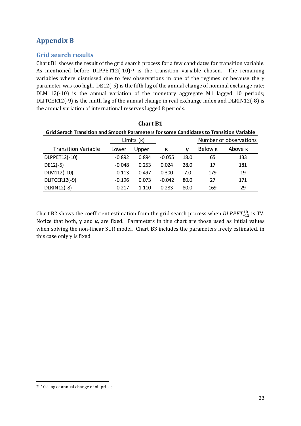## **Appendix B**

#### **Grid search results**

Chart B1 shows the result of the grid se[ar](#page-27-0)ch process for a few candidates for transition variable. As mentioned before DLPPET12(-10)<sup>21</sup> is the transition variable chosen. The remaining variables where dismissed due to few observations in one of the regimes or because the γ parameter was too high. DE12(-5) is the fifth lag of the annual change of nominal exchange rate; DLM112(-10) is the annual variation of the monetary aggregate M1 lagged 10 periods; DLITCER12(-9) is the ninth lag of the annual change in real exchange index and DLRIN12(-8) is the annual variation of international reserves lagged 8 periods.

| <b>Chart B1</b>                                                                         |                                      |       |          |      |                |                |  |  |  |  |  |
|-----------------------------------------------------------------------------------------|--------------------------------------|-------|----------|------|----------------|----------------|--|--|--|--|--|
| Grid Serach Transition and Smooth Parameters for some Candidates to Transition Variable |                                      |       |          |      |                |                |  |  |  |  |  |
|                                                                                         | Number of observations<br>Límits (k) |       |          |      |                |                |  |  |  |  |  |
| <b>Transition Variable</b>                                                              | Lower                                | Upper | К        | ν    | Below <b>K</b> | Above <b>K</b> |  |  |  |  |  |
| DLPPET12(-10)                                                                           | $-0.892$                             | 0.894 | $-0.055$ | 18.0 | 65             | 133            |  |  |  |  |  |
| $DE12(-5)$                                                                              | $-0.048$                             | 0.253 | 0.024    | 28.0 | 17             | 181            |  |  |  |  |  |
| DLM112(-10)                                                                             | $-0.113$                             | 0.497 | 0.300    | 7.0  | 179            | 19             |  |  |  |  |  |
| DLITCER12(-9)                                                                           | $-0.196$                             | 0.073 | $-0.042$ | 80.0 | 27             | 171            |  |  |  |  |  |
| DLRIN12(-8)                                                                             | $-0.217$                             | 1.110 | 0.283    | 80.0 | 169            | 29             |  |  |  |  |  |

Chart B2 shows the coefficient estimation from the grid search process when  $\text{DLPPET}_{-12}^{10}$  is TV. Notice that both,  $\gamma$  and  $\kappa$ , are fixed. Parameters in this chart are those used as initial values when solving the non-linear SUR model. Chart B3 includes the parameters freely estimated, in this case only  $\gamma$  is fixed.

<span id="page-27-0"></span><sup>-</sup><sup>21</sup> 10th lag of annual change of oil prices.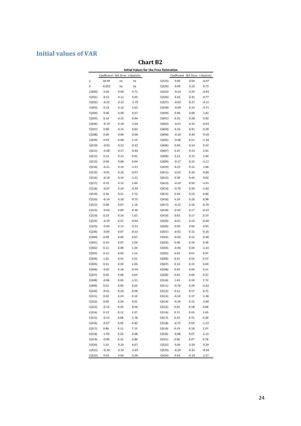### **Initial values of VAR**

### **Chart B2**

|                  | Coefficient Std. Error t-Statistic |              |              |                  | Coefficient Std. Error t-Statistic |              |                    |
|------------------|------------------------------------|--------------|--------------|------------------|------------------------------------|--------------|--------------------|
| γ                | 18.00                              | na           | na           | C(323)           | 0.00                               | 0.04         | $-0.07$            |
| k                | -0.055                             | na           | na           | C(324)           | 0.09                               | 0.12         | 0.75               |
| C(200)           | 0.00                               | 0.00         | 3.71         | C(325)           | $-0.24$                            | 0.25         | -0.93              |
| C(201)           | 0.53                               | 0.11         | 5.05         | C(326)           | 0.24                               | 0.31         | 0.77               |
| C(202)           | $-0.22$                            | 0.12         | $-1.79$      | C(327)           | $-0.03$                            | 0.27         | $-0.11$            |
| C(203)           | 0.19                               | 0.12         | 1.63         | C(328)           | $-0.09$                            | 0.13         | $-0.71$            |
| C(204)           | 0.06                               | 0.09         | 0.67         | C(400)           | 0.00                               | 0.00         | 1.81               |
| C(205)           | 0.14                               | 0.15         | 0.94         | C(401)           | 0.25                               | 0.28         | 0.92               |
| C(206)           | $-0.19$                            | 0.18         | $-1.04$      | C(402)           | $-0.01$                            | 0.32         | $-0.03$            |
| C(207)           | 0.09                               | 0.15         | 0.62         | C(403)           | 0.16                               | 0.41         | 0.39               |
| C(208)           | 0.00                               | 0.06         | $-0.06$      | C(404)           | $-0.10$                            | 0.30         | $-0.34$            |
| C(209)           | 0.09                               | 0.08         | 1.19         | C(405)           | $-0.68$                            | 0.51         | $-1.34$            |
| C(210)           | $-0.03$                            | 0.12         | $-0.22$      | C(406)           | 0.04                               | 0.14         | 0.32               |
| C(211)           | $-0.08$                            | 0.17         | $-0.46$      | C(407)           | 0.37                               | 0.13         | 2.81               |
| C(212)           | 0.12                               | 0.13         | 0.91         | C(408)           | 0.21                               | 0.15         | 1.46               |
| C(213)           | 0.06                               | 0.06         | 0.94         | C(409)           | $-0.17$                            | 0.15         | $-1.11$            |
| C(214)           | $-0.21$                            | 0.14         | $-1.51$      | C(410)           | 0.23                               | 0.12         | 1.86               |
| C(215)           | $-0.01$                            | 0.16         | $-0.07$      | C(411)           | $-0.02$                            | 0.33         | $-0.06$            |
| C(216)           | $-0.19$                            | 0.14         | $-1.31$      | C(412)           | 0.39                               | 0.43         | 0.92               |
| C(217)           | 0.19                               | 0.12         | 1.60         | C(413)           | $-0.50$                            | 0.50         | $-1.01$            |
| C(218)           | $-0.07$                            | 0.19         | $-0.34$      | C(414)           | $-0.70$                            | 0.39         | $-1.82$            |
| C(219)           | 0.36                               | 0.21         | 1.72         | C(415)           | 0.43                               | 0.54         | 0.80               |
| C(220)           | $-0.14$                            | 0.18         | $-0.75$      | C(416)           | 0.16                               | 0.16         | 0.98               |
| C(221)           | 0.08                               | 0.07         | 1.19         | C(417)           | $-0.12$                            | 0.16         | $-0.76$            |
| C(222)           | $-0.03$                            | 0.09         | $-0.36$      | C(418)           | $-0.02$                            | 0.17         | $-0.10$            |
| C(223)           | 0.23                               | 0.14         | 1.62         | C(419)           | 0.02                               | 0.17         | 0.14               |
| C(224)           | $-0.19$                            | 0.21         | $-0.94$      | C(420)           | $-0.01$                            | 0.15         | $-0.04$            |
| C(225)           | $-0.03$                            | 0.15         | $-0.22$      | C(500)           | 0.00                               | 0.00         | 0.83               |
| C(226)           | $-0.04$                            | 0.07         | $-0.53$      | C(501)           | $-0.02$                            | 0.15         | $-0.16$            |
| C(300)           | 0.00                               | 0.00         | 0.67         | C(502)           | $-0.04$                            | 0.12         | $-0.38$            |
| C(301)           | 0.14                               | 0.07         | 2.06         | C(503)           | 0.06                               | 0.16         | 0.36               |
| C(302)           | 0.11                               | 0.08         | 1.34         | C(504)           | $-0.46$                            | 0.34         | $-1.33$            |
| C(303)           | 0.13                               | 0.09         | 1.55         | C(505)           | 0.05                               | 0.67         | 0.07               |
| C(304)           | 1.02                               | 0.31         | 3.31         | C(506)           | 0.31                               | 0.54         | 0.57               |
| C(305)           | 0.31                               | 0.30         | 1.03         | C(507)           | 0.10                               | 0.15         | 0.69               |
| C(306)           | $-0.81$                            | 0.18         | $-4.54$      | C(508)           | 0.02                               | 0.06         | 0.31               |
| C(307)           | 0.05                               | 0.08         | 0.64         | C(509)           | 0.02                               | 0.06         | 0.37               |
| C(308)           | $-0.06$                            | 0.04         | $-1.51$      | C(510)           | 1.42                               | 0.18         | 7.72               |
| C(309)           | 0.02                               | 0.03         | 0.63         | C(511)           | -0.76                              | 0.29         | $-2.63$            |
| C(310)           | $-0.01$                            | 0.10         | $-0.06$      | C(512)           | 0.12                               | 0.17         | 0.75               |
|                  |                                    |              |              |                  |                                    |              |                    |
| C(311)<br>C(312) | 0.02<br>0.00                       | 0.23<br>0.29 | 0.10<br>0.01 | C(513)<br>C(514) | $-0.24$<br>$-0.26$                 | 0.17<br>0.15 | $-1.38$<br>$-1.69$ |
| C(313)           |                                    |              |              |                  |                                    |              |                    |
|                  | $-0.14$                            | 0.25         | $-0.56$      | C(515)           | 0.01                               | 0.18         | 0.06               |
| C(314)           | 0.13                               | 0.12         | 1.07         | C(516)           | 0.71                               | 0.43         | 1.65               |
| C(315)           | $-0.15$                            | 0.08         | $-1.78$      | C(517)           | 0.23                               | 0.75         | 0.30               |
| C(316)           | $-0.07$                            | 0.09         | $-0.82$      | C(518)           | $-0.73$                            | 0.59         | $-1.23$            |
| C(317)           | 0.86                               | 0.12         | 7.15         | C(519)           | 0.19                               | 0.18         | 1.07               |
| C(318)           | $-1.03$                            | 0.33         | $-3.08$      | C(520)           | $-0.08$                            | 0.07         | $-1.15$            |
| C(319)           | $-0.90$                            | 0.32         | $-2.86$      | C(521)           | 0.06                               | 0.07         | 0.76               |
| C(320)           | 1.33                               | 0.20         | 6.67         | C(522)           | 0.06                               | 0.20         | 0.29               |
| C(321)           | $-0.10$                            | 0.10         | $-1.03$      | C(523)           | $-0.29$                            | 0.31         | $-0.94$            |
| C(322)           | 0.02                               | 0.04         | 0.38         | C(524)           | 0.43                               | 0.19         | 2.27               |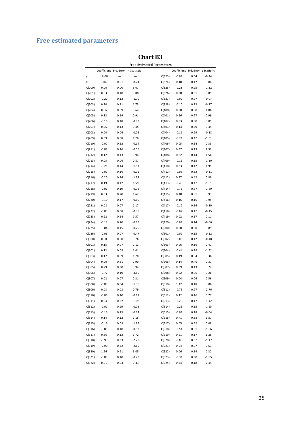# **Free estimated parameters**

|        |                        |      |             | <b>Free Estimated Parameters</b> |                                    |      |         |
|--------|------------------------|------|-------------|----------------------------------|------------------------------------|------|---------|
|        | Coefficient Std. Error |      | t-Statistic |                                  | Coefficient Std. Error t-Statistic |      |         |
| γ      | 18.00                  | na   | na          | C(323)                           | $-0.01$                            | 0.04 | $-0.24$ |
| k      | $-0.049$               | 0.01 | $-8.24$     | C(324)                           | 0.10                               | 0.12 | 0.84    |
| C(200) | 0.00                   | 0.00 | 3.67        | C(325)                           | $-0.28$                            | 0.25 | $-1.12$ |
| C(201) | 0.53                   | 0.10 | 5.08        | C(326)                           | 0.28                               | 0.31 | 0.89    |
| C(202) | $-0.22$                | 0.12 | $-1.79$     | C(327)                           | $-0.02$                            | 0.27 | $-0.07$ |
| C(203) | 0.20                   | 0.11 | 1.73        | C(328)                           | $-0.10$                            | 0.13 | $-0.77$ |
| C(204) | 0.06                   | 0.09 | 0.64        | C(400)                           | 0.00                               | 0.00 | 1.86    |
| C(205) | 0.13                   | 0.14 | 0.91        | C(401)                           | 0.26                               | 0.27 | 0.99    |
| C(206) | $-0.16$                | 0.18 | $-0.93$     | C(402)                           | 0.03                               | 0.30 | 0.09    |
| C(207) | 0.06                   | 0.13 | 0.45        | C(403)                           | 0.13                               | 0.39 | 0.34    |
| C(208) | 0.00                   | 0.06 | $-0.02$     | C(404)                           | $-0.11$                            | 0.29 | $-0.38$ |
| C(209) | 0.09                   | 0.08 | 1.26        | C(405)                           | $-0.71$                            | 0.47 | $-1.51$ |
| C(210) | $-0.02$                | 0.12 | $-0.14$     | C(406)                           | 0.05                               | 0.14 | 0.38    |
| C(211) | $-0.09$                | 0.16 | $-0.55$     | C(407)                           | 0.37                               | 0.13 | 2.92    |
| C(212) | 0.12                   | 0.13 | 0.94        | C(408)                           | 0.22                               | 0.14 | 1.56    |
| C(213) | 0.05                   | 0.06 | 0.87        | C(409)                           | $-0.16$                            | 0.15 | $-1.10$ |
| C(214) | $-0.21$                | 0.14 | $-1.51$     | C(410)                           | 0.23                               | 0.12 | 1.95    |
| C(215) | $-0.01$                | 0.16 | $-0.06$     | C(411)                           | $-0.03$                            | 0.32 | $-0.11$ |
| C(216) | $-0.20$                | 0.14 | $-1.37$     | C(412)                           | 0.37                               | 0.42 | 0.89    |
| C(217) | 0.19                   | 0.12 | 1.59        | C(413)                           | $-0.48$                            | 0.47 | $-1.01$ |
| C(218) | $-0.06$                | 0.19 | $-0.32$     | C(414)                           | $-0.71$                            | 0.37 | $-1.89$ |
| C(219) | 0.33                   | 0.20 | 1.62        | C(415)                           | 0.48                               | 0.51 | 0.93    |
| C(220) | $-0.10$                | 0.17 | $-0.60$     | C(416)                           | 0.15                               | 0.16 | 0.95    |
| C(221) | 0.08                   | 0.07 | 1.17        | C(417)                           | $-0.12$                            | 0.16 | $-0.80$ |
| C(222) | $-0.03$                | 0.08 | $-0.38$     | C(418)                           | $-0.02$                            | 0.17 | $-0.15$ |
| C(223) | 0.22                   | 0.14 | 1.57        | C(419)                           | 0.02                               | 0.17 | 0.11    |
| C(224) | $-0.18$                | 0.20 | $-0.89$     | C(420)                           | $-0.01$                            | 0.14 | $-0.06$ |
| C(225) | $-0.04$                | 0.15 | $-0.25$     | C(500)                           | 0.00                               | 0.00 | 0.89    |
| C(226) | $-0.03$                | 0.07 | $-0.47$     | C(501)                           | $-0.02$                            | 0.15 | $-0.12$ |
| C(300) | 0.00                   | 0.00 | 0.76        | C(502)                           | $-0.06$                            | 0.12 | $-0.48$ |
| C(301) | 0.15                   | 0.07 | 2.11        | C(503)                           | 0.06                               | 0.16 | 0.41    |
| C(302) | 0.12                   | 0.08 | 1.41        | C(504)                           | $-0.44$                            | 0.29 | $-1.52$ |
| C(303) | 0.17                   | 0.09 | 1.78        | C(505)                           | 0.19                               | 0.54 | 0.36    |
| C(304) | 0.90                   | 0.31 | 2.90        | C(506)                           | 0.14                               | 0.46 | 0.31    |
| C(305) | 0.29                   | 0.30 | 0.94        | C(507)                           | 0.09                               | 0.13 | 0.72    |
| C(306) | $-0.72$                | 0.19 | $-3.80$     | C(508)                           | 0.02                               | 0.06 | 0.26    |
| C(307) | 0.02                   | 0.07 | 0.31        | C(509)                           | 0.04                               | 0.06 | 0.56    |
| C(308) | $-0.05$                | 0.04 | $-1.35$     | C(510)                           | 1.42                               | 0.18 | 8.06    |
| C(309) | 0.03                   | 0.03 | 0.79        | C(511)                           | $-0.75$                            | 0.27 | $-2.76$ |
| C(310) | $-0.01$                | 0.10 | $-0.11$     | C(512)                           | 0.12                               | 0.16 | 0.77    |
| C(311) | 0.04                   | 0.22 | 0.19        | C(513)                           | $-0.25$                            | 0.17 | $-1.42$ |
| C(312) | $-0.01$                | 0.29 | $-0.02$     | C(514)                           | $-0.25$                            | 0.15 | $-1.65$ |
| C(313) | $-0.16$                | 0.25 | $-0.64$     | C(515)                           | $-0.01$                            | 0.18 | $-0.04$ |
| C(314) | 0.14                   | 0.12 | 1.15        | C(516)                           | 0.71                               | 0.38 | 1.87    |
| C(315) | $-0.16$                | 0.09 | $-1.85$     | C(517)                           | 0.05                               | 0.62 | 0.08    |
| C(316) | $-0.09$                | 0.10 | $-0.93$     | C(518)                           | $-0.54$                            | 0.51 | $-1.06$ |
| C(317) | 0.86                   | 0.13 | 6.72        | C(519)                           | 0.21                               | 0.17 | 1.25    |
| C(318) | $-0.93$                | 0.33 | $-2.79$     | C(520)                           | $-0.08$                            | 0.07 | $-1.17$ |
| C(319) | $-0.90$                | 0.32 | $-2.80$     | C(521)                           | 0.04                               | 0.07 | 0.61    |
| C(320) | 1.26                   | 0.21 | 6.05        | C(522)                           | 0.06                               | 0.19 | 0.32    |
| C(321) | $-0.08$                | 0.10 | $-0.79$     | C(523)                           | $-0.31$                            | 0.30 | $-1.05$ |
| C(322) | 0.01                   | 0.04 | 0.33        | C(524)                           | 0.44                               | 0.18 | 2.44    |

#### **Chart B3**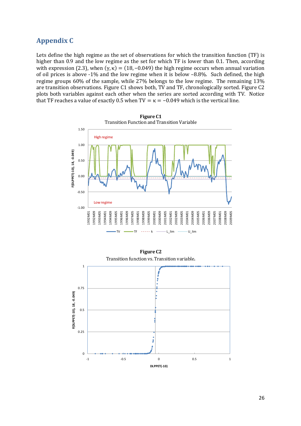### **Appendix C**

Lets define the high regime as the set of observations for which the transition function (TF) is higher than 0.9 and the low regime as the set for which TF is lower than 0.1. Then, according with expression (2.3), when  $(\gamma, \kappa) = (18, -0.049)$  the high regime occurs when annual variation of oil prices is above -1% and the low regime when it is below –8.8%. Such defined, the high regime groups 60% of the sample, while 27% belongs to the low regime. The remaining 13% are transition observations. Figure C1 shows both, TV and TF, chronologically sorted. Figure C2 plots both variables against each other when the series are sorted according with TV. Notice that TF reaches a value of exactly 0.5 when TV =  $\kappa$  = -0.049 which is the vertical line.



**Figure C1** Transition Function and Transition Variable

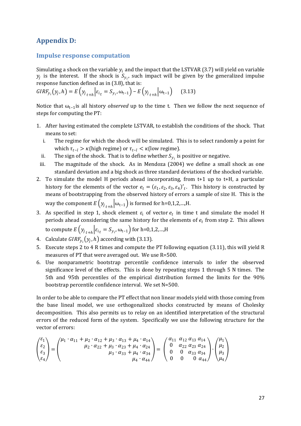### **Appendix D:**

#### **Impulse response computation**

Simulating a shock on the variable  $y_i$  and the impact that the LSTVAR (3.7) will yield on variable  $y_j$  is the interest. If the shock is  $S_{y_i}$ , such impact will be given by the generalized impulse response function defined as in (3.8), that is:

$$
GIRF_{y_i}(y_j, h) = E(y_{j_{t+h}}| \varepsilon_{i_t} = S_{y_i}, \omega_{t-1}) - E(y_{j_{t+h}}|\omega_{t-1})
$$
 (3.13)

Notice that  $ω_{t-1}$  is all history *observed* up to the time t. Then we follow the next sequence of steps for computing the PT:

- 1. After having estimated the complete LSTVAR, to establish the conditions of the shock. That means to set:
	- i. The regime for which the shock will be simulated. This is to select randomly a point for which  $\tau_{t-l} > \kappa$ (high regime) or  $\tau_{t-l} < \kappa$ (low regime).
	- ii. The sign of the shock. That is to define whether  $\mathcal{S}_{y_i}$  is positive or negative.
	- iii. The magnitude of the shock. As in Mendoza (2004) we define a small shock as one standard deviation and a big shock as three standard deviations of the shocked variable.
- 2. To simulate the model H periods ahead incorporating, from t+1 up to t+H, a particular history for the elements of the vector  $e_t = (\varepsilon_1, \varepsilon_2, \varepsilon_3, \varepsilon_4)'_t$ . This history is constructed by means of bootstrapping from the observed history of errors a sample of size H. This is the way the component  $E(y_{j_{t+h}}|\omega_{t-1})$  is formed for h=0,1,2,...,H.
- 3. As specified in step 1, shock element  $\varepsilon_i$  of vector  $e_t$  in time t and simulate the model H periods ahead considering the same history for the elements of  $e_t$  from step 2. This allows
- to compute  $E(y_{j_{t+h}} | \varepsilon_{i_t} = S_{y_{i'}} \omega_{t-1})$  for h=0,1,2,...,H
- 4. Calculate  $GIRF_{y_i}(y_j, h)$  according with (3.13).
- 5. Execute steps 2 to 4 R times and compute the PT following equation (3.11), this will yield R measures of PT that were averaged out. We use R=500.
- 6. Use nonparametric bootstrap percentile confidence intervals to infer the observed significance level of the effects. This is done by repeating steps 1 through 5 N times. The 5th and 95th percentiles of the empirical distribution formed the limits for the 90% bootstrap percentile confidence interval. We set N=500.

In order to be able to compare the PT effect that non linear models yield with those coming from the base lineal model, we use orthogonalized shocks constructed by means of Cholesky decomposition. This also permits us to relay on an identified interpretation of the structural errors of the reduced form of the system. Specifically we use the following structure for the vector of errors:

$$
\begin{pmatrix} \varepsilon_1 \\ \varepsilon_2 \\ \varepsilon_3 \\ \varepsilon_4 \end{pmatrix} = \begin{pmatrix} \mu_1 \cdot \alpha_{11} + \mu_2 \cdot \alpha_{12} + \mu_3 \cdot \alpha_{13} + \mu_4 \cdot \alpha_{14} \\ \mu_2 \cdot \alpha_{22} + \mu_3 \cdot \alpha_{23} + \mu_4 \cdot \alpha_{24} \\ \mu_3 \cdot \alpha_{33} + \mu_4 \cdot \alpha_{34} \\ \mu_4 \cdot \alpha_{44} \end{pmatrix} = \begin{pmatrix} \alpha_{11} & \alpha_{12} & \alpha_{13} & \alpha_{14} \\ 0 & \alpha_{22} & \alpha_{23} & \alpha_{24} \\ 0 & 0 & \alpha_{33} & \alpha_{34} \\ 0 & 0 & 0 & \alpha_{44} \end{pmatrix} \cdot \begin{pmatrix} \mu_1 \\ \mu_2 \\ \mu_3 \\ \mu_4 \end{pmatrix}
$$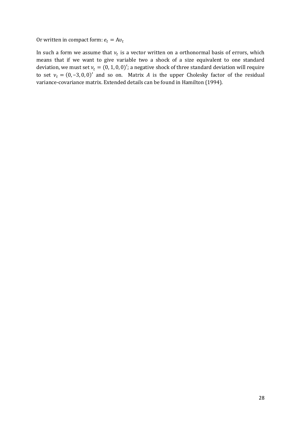Or written in compact form:  $e_t = Av_t$ 

In such a form we assume that  $v_t$  is a vector written on a orthonormal basis of errors, which means that if we want to give variable two a shock of a size equivalent to one standard deviation, we must set  $v_t = (0, 1, 0, 0)'$ ; a negative shock of three standard deviation will require to set  $v_t = (0, -3, 0, 0)'$  and so on. Matrix A is the upper Cholesky factor of the residual variance-covariance matrix. Extended details can be found in Hamilton (1994).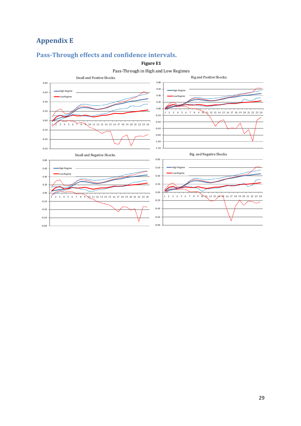# **Appendix E**

# **Pass-Through effects and confidence intervals.**

**Figure E1**



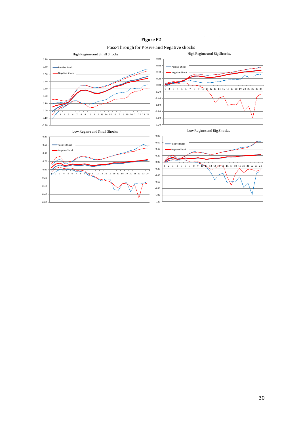**Figure E2**